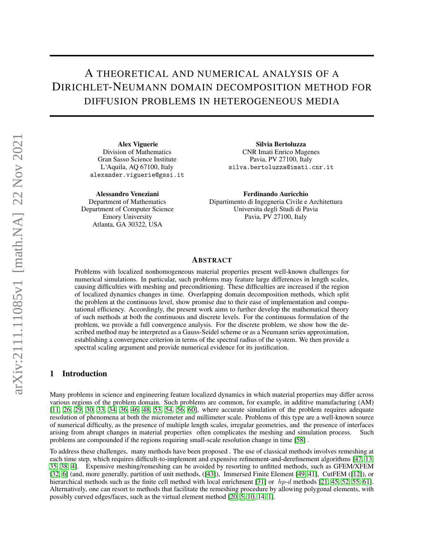# A THEORETICAL AND NUMERICAL ANALYSIS OF A DIRICHLET-NEUMANN DOMAIN DECOMPOSITION METHOD FOR DIFFUSION PROBLEMS IN HETEROGENEOUS MEDIA

Alex Viguerie Division of Mathematics Gran Sasso Science Institute L'Aquila, AQ 67100, Italy alexander.viguerie@gssi.it

Alessandro Veneziani Department of Mathematics Department of Computer Science Emory University Atlanta, GA 30322, USA

Silvia Bertoluzza CNR Imati Enrico Magenes Pavia, PV 27100, Italy silva.bertoluzza@imati.cnr.it

Ferdinando Auricchio Dipartimento di Ingegneria Civile e Architettura Universita degli Studi di Pavia Pavia, PV 27100, Italy

## ABSTRACT

Problems with localized nonhomogeneous material properties present well-known challenges for numerical simulations. In particular, such problems may feature large differences in length scales, causing difficulties with meshing and preconditioning. These difficulties are increased if the region of localized dynamics changes in time. Overlapping domain decomposition methods, which split the problem at the continuous level, show promise due to their ease of implementation and computational efficiency. Accordingly, the present work aims to further develop the mathematical theory of such methods at both the continuous and discrete levels. For the continuous formulation of the problem, we provide a full convergence analysis. For the discrete problem, we show how the described method may be interpreted as a Gauss-Seidel scheme or as a Neumann series approximation, establishing a convergence criterion in terms of the spectral radius of the system. We then provide a spectral scaling argument and provide numerical evidence for its justification.

# 1 Introduction

Many problems in science and engineering feature localized dynamics in which material properties may differ across various regions of the problem domain. Such problems are common, for example, in additive manufacturing (AM) [\[11,](#page-17-0) [26,](#page-18-0) [29,](#page-18-1) [30,](#page-18-2) [33,](#page-18-3) [34,](#page-18-4) [36,](#page-18-5) [46,](#page-19-0) [48,](#page-19-1) [53,](#page-19-2) [54,](#page-19-3) [56,](#page-19-4) [60\]](#page-20-0), where accurate simulation of the problem requires adequate resolution of phenomena at both the micrometer and millimeter scale. Problems of this type are a well-known source of numerical difficulty, as the presence of multiple length scales, irregular geometries, and the presence of interfaces arising from abrupt changes in material properties often complicates the meshing and simulation process. Such problems are compounded if the regions requiring small-scale resolution change in time [\[58\]](#page-20-1) .

To address these challenges, many methods have been proposed . The use of classical methods involves remeshing at each time step, which requires difficult-to-implement and expensive refinement-and-derefinement algorithms [\[47,](#page-19-5) [13,](#page-17-1) [35,](#page-18-6) [38,](#page-19-6) [4\]](#page-17-2). Expensive meshing/remeshing can be avoided by resorting to unfitted methods, such as GFEM/XFEM [\[32,](#page-18-7) [6\]](#page-17-3) (and, more generally, partition of unit methods, ([\[43\]](#page-19-7)), Immersed Finite Element [\[49,](#page-19-8) [41\]](#page-19-9), CutFEM ([\[12\]](#page-17-4)), or hierarchical methods such as the finite cell method with local enrichment [\[31\]](#page-18-8) or  $h p-d$  methods [\[21,](#page-18-9) [45,](#page-19-10) [52,](#page-19-11) [55,](#page-19-12) [61\]](#page-20-2). Alternatively, one can resort to methods that facilitate the remeshing procedure by allowing polygonal elements, with possibly curved edges/faces, such as the virtual element method [\[20,](#page-18-10) [5,](#page-17-5) [10,](#page-17-6) [14,](#page-18-11) [1\]](#page-17-7).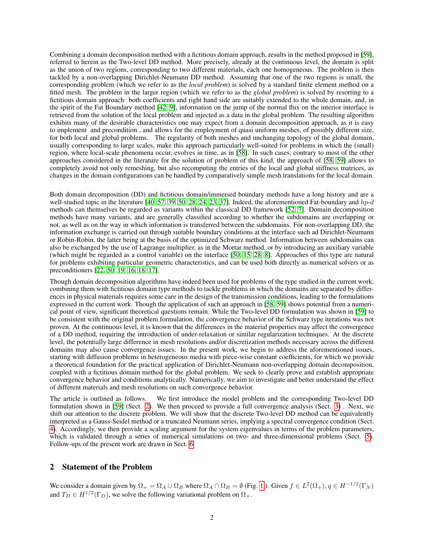Combining a domain decomposition method with a fictitious domain approach, results in the method proposed in [\[59\]](#page-20-3), referred to herein as the Two-level DD method. More precisely, already at the continuous level, the domain is split as the union of two regions, corresponding to two different materials, each one homogeneous. The problem is then tackled by a non-overlapping Dirichlet-Neumann DD method. Assuming that one of the two regions is small, the corresponding problem (which we refer to as the *local problem*) is solved by a standard finite element method on a fitted mesh. The problem in the larger region (which we refer to as the *global problem*) is solved by resorting to a fictitious domain approach: both coefficients and right hand side are suitably extended to the whole domain, and, in the spirit of the Fat Boundary method [\[42,](#page-19-13) [9\]](#page-17-8), information on the jump of the normal flux on the interior interface is retrieved from the solution of the local problem and injected as a data in the global problem. The resulting algorithm exhibits many of the desirable characteristics one may expect from a domain decomposition approach, as it is easy to implement and precondition , and allows for the employment of quasi uniform meshes, of possibly different size, for both local and global problems. The regularity of both meshes and unchanging topology of the global domain, usually corresponding to large scales, make this approach particularly well-suited for problems in which the (small) region, where local-scale phenomena occur, evolves in time, as in [\[58\]](#page-20-1). In such cases, contrary to most of the other approaches considered in the literature for the solution of problem of this kind, the approach of [\[58,](#page-20-1) [59\]](#page-20-3) allows to completely avoid not only remeshing, but also recomputing the entries of the local and global stiffness matrices, as changes in the domain configurations can be handled by comparatively simple mesh translations for the local domain.

Both domain decomposition (DD) and fictitious domain/immersed boundary methods have a long history and are a well-studied topic in the literature [\[40,](#page-19-14) [57,](#page-19-15) [39,](#page-19-16) [50,](#page-19-17) [28,](#page-18-12) [24,](#page-18-13) [23,](#page-18-14) [37\]](#page-19-18). Indeed, the aforementioned Fat-boundary and  $hp-d$ methods can themselves be regarded as variants within the classical DD framework [\[52,](#page-19-11) [7\]](#page-17-9). Domain decomposition methods have many variants, and are generally classified according to whether the subdomains are overlapping or not, as well as on the way in which information is transferred between the subdomains. For non-overlapping DD, the information exchange is carried out through suitable boundary conditions at the interface such ad Dirichlet-Neumann or Robin-Robin, the latter being at the basis of the optimized Schwarz method. Information between subdomains can also be exchanged by the use of Lagrange multiplier, as in the Mortar method, or by introducing an auxiliary variable (which might be regarded as a control variable) on the interface [\[50,](#page-19-17) [15,](#page-18-15) [28,](#page-18-12) [8\]](#page-17-10). Approaches of this type are natural for problems exhibiting particular geometric characteristics, and can be used both directly as numerical solvers or as preconditioners [\[22,](#page-18-16) [50,](#page-19-17) [19,](#page-18-17) [16,](#page-18-18) [18,](#page-18-19) [17\]](#page-18-20).

Though domain decomposition algorithms have indeed been used for problems of the type studied in the current work, combining them with fictitious domain type methods to tackle problems in which the domains are separated by differences in physical materials requires some care in the design of the transmission conditions, leading to the formulations expressed in the current work. Though the application of such an approach in [\[58,](#page-20-1) [59\]](#page-20-3) shows potential from a numerical point of view, significant theoretical questions remain. While the Two-level DD formulation was shown in [\[59\]](#page-20-3) to be consistent with the original problem formulation, the convergence behavior of the Schwarz type iterations was not proven. At the continuous level, it is known that the differences in the material properties may affect the convergence of a DD method, requiring the introduction of under-relaxation or similar regularization techniques. At the discrete level, the potentially large difference in mesh resolutions and/or discretization methods necessary across the different domains may also cause convergence issues. In the present work, we begin to address the aforementioned issues, starting with diffusion problems in heterogeneous media with piece-wise constant coefficients, for which we provide a theoretical foundation for the practical application of Dirichlet-Neumann non-overlapping domain decomposition, coupled with a fictitious domain method for the global problem. We seek to clearly prove and establish appropriate convergence behavior and conditions analytically. Numerically, we aim to investigate and better understand the effect of different materials and mesh resolutions on such convergence behavior.

The article is outlined as follows. We first introduce the model problem and the corresponding Two-level DD formulation shown in [\[59\]](#page-20-3) (Sect. [2\)](#page-1-0). We then proceed to provide a full convergence analysis (Sect. [3\)](#page-4-0) . Next, we shift our attention to the discrete problem. We will show that the discrete Two-level DD method can be equivalently interpreted as a Gauss-Seidel method or a truncated Neumann series, implying a spectral convergence condition (Sect. [4\)](#page-7-0). Accordingly, we then provide a scaling argument for the system eigenvalues in terms of the problem parameters, which is validated through a series of numerical simulations on two- and three-dimensional problems (Sect. [5\)](#page-10-0). Follow-ups of the present work are drawn in Sect. [6.](#page-16-0)

# <span id="page-1-0"></span>2 Statement of the Problem

We consider a domain given by  $\Omega_+ = \Omega_A \cup \Omega_B$  where  $\Omega_A \cap \Omega_B = \emptyset$  (Fig. [1](#page-2-0)). Given  $f \in L^2(\Omega_+), q \in H^{-1/2}(\Gamma_N)$ and  $T_D \in H^{1/2}(\Gamma_D)$ , we solve the following variational problem on  $\Omega_+$ .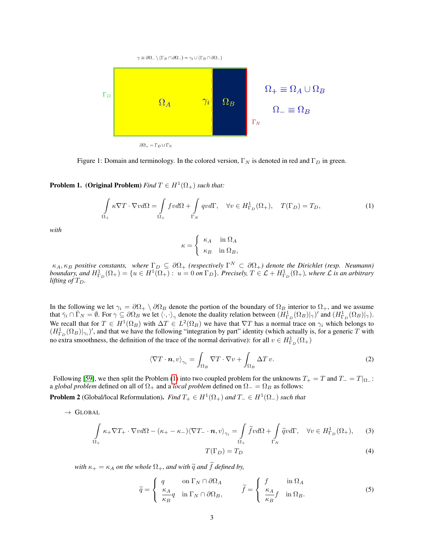<span id="page-2-0"></span>

Figure 1: Domain and terminology. In the colored version,  $\Gamma_N$  is denoted in red and  $\Gamma_D$  in green.

<span id="page-2-1"></span>**Problem 1.** (Original Problem) *Find*  $T \in H^1(\Omega_+)$  *such that:* 

$$
\int_{\Omega_+} \kappa \nabla T \cdot \nabla v d\Omega = \int_{\Omega_+} f v d\Omega + \int_{\Gamma_N} q v d\Gamma, \quad \forall v \in H^1_{\Gamma_D}(\Omega_+), \quad T(\Gamma_D) = T_D,\tag{1}
$$

*with*

$$
\kappa = \begin{cases} \kappa_A & \text{in } \Omega_A \\ \kappa_B & \text{in } \Omega_B, \end{cases}
$$

 $\kappa_A, \kappa_B$  positive constants, where  $\Gamma_D \subseteq \partial \Omega_+$  (respectively  $\Gamma^N \subset \partial \Omega_+$ ) denote the Dirichlet (resp. Neumann)  $b$ *oundary, and*  $H^1_{\Gamma_D}(\Omega_+) = \{u \in H^1(\Omega_+): u = 0 \text{ on } \Gamma_D\}$ . Precisely,  $T \in \mathcal{L} + H^1_{\Gamma_D}(\Omega_+)$ , where  $\mathcal L$  is an arbitrary *lifting of*  $T_D$ .

In the following we let  $\gamma_i = \partial \Omega_+ \setminus \partial \Omega_B$  denote the portion of the boundary of  $\Omega_B$  interior to  $\Omega_+$ , and we assume that  $\bar{\gamma}_i \cap \bar{\Gamma}_N = \emptyset$ . For  $\gamma \subseteq \partial \Omega_B$  we let  $\langle \cdot, \cdot \rangle_{\gamma}$  denote the duality relation between  $(H_{\Gamma_D}^1(\Omega_B)|_{\gamma})'$  and  $(H_{\Gamma_D}^1(\Omega_B)|_{\gamma})$ . We recall that for  $T \in H^1(\Omega_B)$  with  $\Delta T \in L^2(\Omega_B)$  we have that  $\nabla T$  has a normal trace on  $\gamma_i$  which belongs to  $(H_{\Gamma_D}^1(\Omega_B)|_{\gamma_i})'$ , and that we have the following "integration by part" identity (which actually is, for a generic T with no extra smoothness, the definition of the trace of the normal derivative): for all  $v \in H^1_{\Gamma_D}(\Omega_+)$ 

<span id="page-2-5"></span>
$$
\left\langle \nabla T \cdot \boldsymbol{n}, v \right\rangle_{\gamma_i} = \int_{\Omega_B} \nabla T \cdot \nabla v + \int_{\Omega_B} \Delta T \, v. \tag{2}
$$

Following [\[59\]](#page-20-3), we then split the Problem [\(1\)](#page-2-1) into two coupled problem for the unknowns  $T_{+} = T$  and  $T_{-} = T|_{\Omega_{-}}$ : a *global problem* defined on all of  $\Omega_+$  and a *local problem* defined on  $\Omega_- = \Omega_B$  as follows:

<span id="page-2-4"></span>**Problem 2** (Global/local Reformulation). Find  $T_+ \in H^1(\Omega_+)$  and  $T_- \in H^1(\Omega_-)$  such that

 $\rightarrow$  GLOBAL

<span id="page-2-2"></span>
$$
\int_{\Omega_{+}} \kappa_{+} \nabla T_{+} \cdot \nabla v d\Omega - (\kappa_{+} - \kappa_{-}) \langle \nabla T_{-} \cdot \mathbf{n}, v \rangle_{\gamma_{i}} = \int_{\Omega_{+}} \widetilde{f} v d\Omega + \int_{\Gamma_{N}} \widetilde{q} v d\Gamma, \quad \forall v \in H_{\Gamma_{D}}^{1}(\Omega_{+}), \tag{3}
$$
\n
$$
T(\Gamma_{D}) = T_{D} \tag{4}
$$

*with*  $\kappa_{+} = \kappa_A$  *on the whole*  $\Omega_{+}$ *, and with*  $\tilde{q}$  *and*  $\tilde{f}$  *defined by,* 

<span id="page-2-3"></span>
$$
\widetilde{q} = \begin{cases}\n q & \text{on } \Gamma_N \cap \partial \Omega_A \\
 \frac{\kappa_A}{\kappa_B} q & \text{in } \Gamma_N \cap \partial \Omega_B, \\
\end{cases}\n\qquad\n\widetilde{f} = \begin{cases}\n f & \text{in } \Omega_A \\
 \frac{\kappa_A}{\kappa_B} f & \text{in } \Omega_B.\n\end{cases}
$$
\n(5)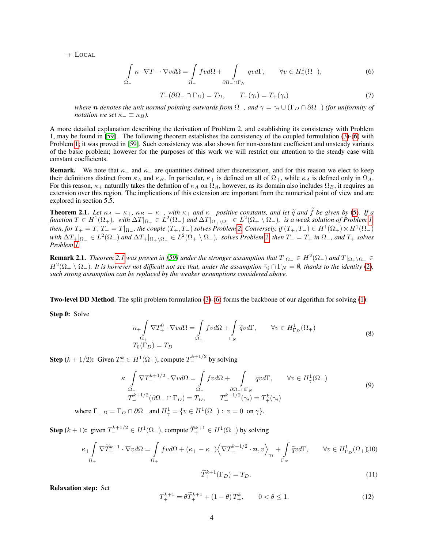$\rightarrow$  LOCAL

<span id="page-3-0"></span>
$$
\int_{\Omega_{-}} \kappa_{-} \nabla T_{-} \cdot \nabla v d\Omega = \int_{\Omega_{-}} f v d\Omega + \int_{\partial \Omega_{-} \cap \Gamma_{N}} q v d\Gamma, \qquad \forall v \in H_{\gamma}^{1}(\Omega_{-}),
$$
\n(6)

$$
T_{-}(\partial \Omega_{-} \cap \Gamma_{D}) = T_{D}, \qquad T_{-}(\gamma_{i}) = T_{+}(\gamma_{i}) \tag{7}
$$

*where* **n** *denotes the unit normal pointing outwards from*  $\Omega_{-}$ , and  $\gamma = \gamma_i \cup (\Gamma_D \cap \partial \Omega_{-})$  *(for uniformity of notation we set*  $\kappa_-\equiv \kappa_B$ *).* 

A more detailed explanation describing the derivation of Problem 2, and establishing its consistency with Problem 1, may be found in [\[59\]](#page-20-3) . The following theorem establishes the consistency of the coupled formulation [\(3\)](#page-2-2)-[\(6\)](#page-3-0) with Problem [1;](#page-2-1) it was proved in [\[59\]](#page-20-3). Such consistency was also shown for non-constant coefficient and unsteady variants of the basic problem; however for the purposes of this work we will restrict our attention to the steady case with constant coefficients.

**Remark.** We note that  $\kappa_+$  and  $\kappa_-$  are quantities defined after discretization, and for this reason we elect to keep their definitions distinct from  $\kappa_A$  and  $\kappa_B$ . In particular,  $\kappa_+$  is defined on all of  $\Omega_+$ , while  $\kappa_A$  is defined only in  $\Omega_A$ . For this reason,  $\kappa_+$  naturally takes the defintion of  $\kappa_A$  on  $\Omega_A$ , however, as its domain also includes  $\Omega_B$ , it requires an extension over this region. The implications of this extension are important from the numerical point of view and are explored in section 5.5.

<span id="page-3-1"></span>**Theorem 2.1.** Let  $\kappa_A = \kappa_+$ ,  $\kappa_B = \kappa_-$ , with  $\kappa_+$  and  $\kappa_-$  positive constants, and let  $\tilde{q}$  and  $f$  be given by [\(5\)](#page-2-3). If a function  $T \in H^1(\Omega_+)$ , with  $\Delta T|_{\Omega_-} \in L^2(\Omega_-)$  and  $\Delta T|_{\Omega_+\setminus\Omega_-} \in L^2(\Omega_+\setminus\Omega_-)$  $\alpha$  *then, for*  $T_+ = T$ ,  $T_- = T|_{\Omega_-}$ , the couple  $(T_+, T_-)$  solves Problem [2.](#page-2-4) Conversely, if  $(T_+, T_-) \in H^1(\Omega_+) \times H^1(\Omega_-)$  $With \Delta T_+|_{\Omega_-} \in L^2(\Omega_-)$  and  $\Delta T_+|_{\Omega_+\setminus\Omega_-} \in L^2(\Omega_+\setminus\Omega_-)$ , solves Problem [2,](#page-2-4) then  $T_-=T_+$  in  $\Omega_-$ , and  $T_+$  solves *Problem [1.](#page-2-1)*

**Remark [2.1](#page-3-1).** *Theorem* 2.1 was proven in [\[59\]](#page-20-3) under the stronger assumption that  $T|_{\Omega_+}\in H^2(\Omega_-)$  and  $T|_{\Omega_+\setminus\Omega_-}\in$  $H^2(\Omega_+\setminus\Omega_-)$ . It is however not difficult not see that, under the assumption  $\bar{\gamma}_i\cap\Gamma_N=\emptyset$ , thanks to the identity [\(2\)](#page-2-5), *such strong assumption can be replaced by the weaker assumptions considered above.*

Two-level DD Method. The split problem formulation [\(3\)](#page-2-2)-[\(6\)](#page-3-0) forms the backbone of our algorithm for solving [\(1\)](#page-2-1):

Step 0: Solve

<span id="page-3-2"></span>
$$
\kappa_{+} \int_{\Omega_{+}} \nabla T_{+}^{0} \cdot \nabla v d\Omega = \int_{\Omega_{+}} f v d\Omega + \int_{\Gamma_{N}} \widetilde{q} v d\Gamma, \qquad \forall v \in H_{\Gamma_{D}}^{1}(\Omega_{+})
$$
  
\n
$$
T_{0}(\Gamma_{D}) = T_{D}
$$
\n(8)

**Step** ( $k + 1/2$ ): Given  $T^k_+ \in H^1(\Omega_+)$ , compute  $T^{k+1/2}_-$  by solving

<span id="page-3-5"></span>
$$
\kappa_{-} \int_{\Omega_{-}} \nabla T_{-}^{k+1/2} \cdot \nabla v d\Omega = \int_{\Omega_{-}} f v d\Omega + \int_{\partial \Omega_{-} \cap \Gamma_{N}} q v d\Gamma, \qquad \forall v \in H_{\gamma}^{1}(\Omega_{-})
$$
  

$$
T_{-}^{k+1/2}(\partial \Omega_{-} \cap \Gamma_{D}) = T_{D}, \qquad T_{-}^{k+1/2}(\gamma_{i}) = T_{+}^{k}(\gamma_{i})
$$
(9)

where  $\Gamma_{-D} = \Gamma_D \cap \partial \Omega_{-}$  and  $H^1_{\gamma} = \{ v \in H^1(\Omega_{-}) : v = 0 \text{ on } \gamma \}.$ 

**Step**  $(k + 1)$ : given  $T_{-}^{k+1/2} \in H^1(\Omega_+)$ , compute  $\widetilde{T}_{+}^{k+1} \in H^1(\Omega_+)$  by solving

<span id="page-3-4"></span>
$$
\kappa_{+} \int_{\Omega_{+}} \nabla \widetilde{T}_{+}^{k+1} \cdot \nabla v d\Omega = \int_{\Omega_{+}} f v d\Omega + (\kappa_{+} - \kappa_{-}) \Big\langle \nabla T_{-}^{k+1/2} \cdot \boldsymbol{n}, v \Big\rangle_{\gamma_{i}} + \int_{\Gamma_{N}} \widetilde{q} v d\Gamma, \qquad \forall v \in H_{\Gamma_{D}}^{1}(\Omega_{+}) \tag{10}
$$

$$
\widetilde{T}_{+}^{k+1}(\Gamma_D) = T_D. \tag{11}
$$

Relaxation step: Set

<span id="page-3-3"></span>
$$
T_{+}^{k+1} = \theta \tilde{T}_{+}^{k+1} + (1 - \theta) T_{+}^{k}, \qquad 0 < \theta \le 1. \tag{12}
$$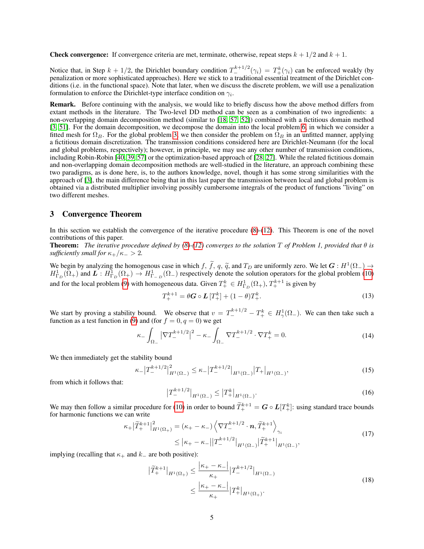**Check convergence:** If convergence criteria are met, terminate, otherwise, repeat steps  $k + \frac{1}{2}$  and  $k + 1$ .

Notice that, in Step  $k + 1/2$ , the Dirichlet boundary condition  $T^{k+1/2}_-(\gamma_i) = T^k_+(\gamma_i)$  can be enforced weakly (by penalization or more sophisticated approaches). Here we stick to a traditional essential treatment of the Dirichlet conditions (i.e. in the functional space). Note that later, when we discuss the discrete problem, we will use a penalization formulation to enforce the Dirichlet-type interface condition on  $\gamma_i$ .

Remark. Before continuing with the analysis, we would like to briefly discuss how the above method differs from extant methods in the literature. The Two-level DD method can be seen as a combination of two ingredients: a non-overlapping domain decomposition method (similar to [\[18,](#page-18-19) [57,](#page-19-15) [52\]](#page-19-11)) combined with a fictitious domain method [\[3,](#page-17-11) [51\]](#page-19-19). For the domain decomposition, we decompose the domain into the local problem [6,](#page-3-0) in which we consider a fitted mesh for  $\Omega_B$ . For the global problem [3,](#page-2-2) we then consider the problem on  $\Omega_B$  in an unfitted manner, applying a fictitious domain discretization. The transmission conditions considered here are Dirichlet-Neumann (for the local and global problems, respectively); however, in principle, we may use any other number of transmission conditions, including Robin-Robin [\[40,](#page-19-14) [39,](#page-19-16) [57\]](#page-19-15) or the optimization-based approach of [\[28,](#page-18-12) [27\]](#page-18-21). While the related fictitious domain and non-overlapping domain decomposition methods are well-studied in the literature, an approach combining these two paradigms, as is done here, is, to the authors knowledge, novel, though it has some strong similarities with the approach of [\[3\]](#page-17-11), the main difference being that in this last paper the transmission between local and global problem is obtained via a distributed multiplier involving possibly cumbersome integrals of the product of functions "living" on two different meshes.

### <span id="page-4-0"></span>3 Convergence Theorem

In this section we establish the convergence of the iterative procedure [\(8\)](#page-3-2)-[\(12\)](#page-3-3). This Theorem is one of the novel contributions of this paper.

**Theorem:** *The iterative procedure defined by [\(8\)](#page-3-2)* $-$ [\(12\)](#page-3-3) *converges to the solution* T *of Problem 1, provided that*  $\theta$  *is sufficiently small for*  $\kappa_+/\kappa_- > 2$ .

We begin by analyzing the homogenous case in which f, f, q,  $\tilde{q}$ , and  $T_D$  are uniformly zero. We let  $G : H^1(\Omega) \to H^1(\Omega)$  and  $L : H^1(\Omega) \to H^1(\Omega)$  respectively denote the solution operators for the global problem (10)  $H^1_{\Gamma_D}(\Omega_+)$  and  $\overline{L}: H^1_{\Gamma_D}(\Omega_+) \to H^1_{\Gamma_{-D}}(\Omega_-)$  respectively denote the solution operators for the global problem [\(10\)](#page-3-4) and for the local problem [\(9\)](#page-3-5) with homogeneous data. Given  $T^k_+ \in H^1_{\Gamma_D}(\Omega_+), T^{k+1}_+$  is given by

$$
T_{+}^{k+1} = \theta G \circ L \left[ T_{+}^{k} \right] + (1 - \theta) T_{+}^{k}.
$$
\n(13)

We start by proving a stability bound. We observe that  $v = T^{k+1/2} - T^k_+ \in H^1_\gamma(\Omega_-)$ . We can then take such a function as a test function in [\(9\)](#page-3-5) and (for  $f = 0, q = 0$ ) we get

$$
\kappa_{-} \int_{\Omega_{-}} \left| \nabla T_{-}^{k+1/2} \right|^{2} - \kappa_{-} \int_{\Omega_{-}} \nabla T_{-}^{k+1/2} \cdot \nabla T_{+}^{k} = 0. \tag{14}
$$

We then immediately get the stability bound

$$
\kappa_{-}|T_{-}^{k+1/2}|_{H^{1}(\Omega_{-})}^{2} \leq \kappa_{-}|T_{-}^{k+1/2}|_{H^{1}(\Omega_{-})}|T_{+}|_{H^{1}(\Omega_{-})},\tag{15}
$$

from which it follows that:

<span id="page-4-1"></span>
$$
\left|T_{-}^{k+1/2}\right|_{H^1(\Omega_-)} \leq \left|T_{+}^k\right|_{H^1(\Omega_-)}.
$$
\n(16)

We may then follow a similar procedure for [\(10\)](#page-3-4) in order to bound  $\widetilde{T}_{+}^{k+1} = G \circ L[T_{+}^{k}]$ : using standard trace bounds for harmonic functions we can write

$$
\kappa_{+}|\widetilde{T}_{+}^{k+1}|_{H^{1}(\Omega_{+})}^{2} = (\kappa_{+} - \kappa_{-})\left\langle \nabla T_{-}^{k+1/2} \cdot \boldsymbol{n}, \widetilde{T}_{+}^{k+1} \right\rangle_{\gamma_{i}}\n\leq |\kappa_{+} - \kappa_{-}||T_{-}^{k+1/2}|_{H^{1}(\Omega_{-})}|\widetilde{T}_{+}^{k+1}|_{H^{1}(\Omega_{-})},
$$
\n(17)

implying (recalling that  $\kappa_+$  and  $k_-$  are both positive):

$$
\left| \tilde{T}_{+}^{k+1} \right|_{H^{1}(\Omega_{+})} \leq \frac{\left| \kappa_{+} - \kappa_{-} \right|}{\kappa_{+}} \left| T_{-}^{k+1/2} \right|_{H^{1}(\Omega_{-})} \n\leq \frac{\left| \kappa_{+} - \kappa_{-} \right|}{\kappa_{+}} \left| T_{+}^{k} \right|_{H^{1}(\Omega_{+})}.
$$
\n(18)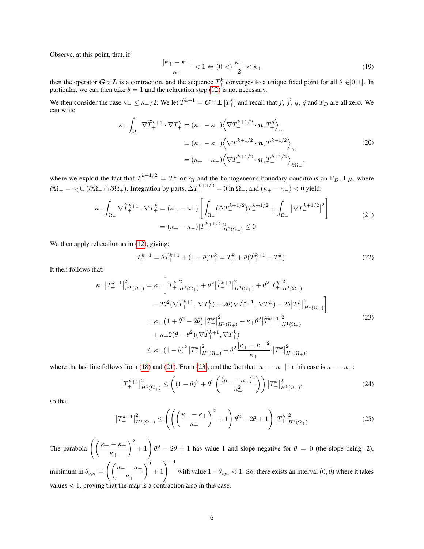Observe, at this point, that, if

<span id="page-5-2"></span>
$$
\frac{|\kappa_+ - \kappa_-|}{\kappa_+} < 1 \Leftrightarrow (0 <) \frac{\kappa_-}{2} < \kappa_+ \tag{19}
$$

then the operator  $G \circ L$  is a contraction, and the sequence  $T^k_+$  converges to a unique fixed point for all  $\theta \in ]0,1]$ . In particular, we can then take  $\theta = 1$  and the relaxation step [\(12\)](#page-3-3) is not necessary.

We then consider the case  $\kappa_+ \leq \kappa_-/2$ . We let  $\widetilde{T}^{k+1}_+ = \mathbf{G} \circ \mathbf{L} [T^k_+]$  and recall that  $f, \widetilde{f}, q, \widetilde{q}$  and  $T_D$  are all zero. We can write can write

$$
\kappa_{+} \int_{\Omega_{+}} \nabla \widetilde{T}_{+}^{k+1} \cdot \nabla T_{+}^{k} = (\kappa_{+} - \kappa_{-}) \left\langle \nabla T_{-}^{k+1/2} \cdot \boldsymbol{n}, T_{+}^{k} \right\rangle_{\gamma_{i}}
$$
  
\n
$$
= (\kappa_{+} - \kappa_{-}) \left\langle \nabla T_{-}^{k+1/2} \cdot \boldsymbol{n}, T_{-}^{k+1/2} \right\rangle_{\gamma_{i}}
$$
  
\n
$$
= (\kappa_{+} - \kappa_{-}) \left\langle \nabla T_{-}^{k+1/2} \cdot \boldsymbol{n}, T_{-}^{k+1/2} \right\rangle_{\partial \Omega_{-}},
$$
\n(20)

where we exploit the fact that  $T_{-}^{k+1/2} = T_{+}^{k}$  on  $\gamma_i$  and the homogeneous boundary conditions on  $\Gamma_D$ ,  $\Gamma_N$ , where  $\partial\Omega_-=\gamma_i\cup(\partial\Omega_-\cap\partial\Omega_+)$ . Integration by parts,  $\Delta T_-^{k+1/2}=0$  in  $\Omega_-,$  and  $(\kappa_+-\kappa_-)<0$  yield:

$$
\kappa_{+} \int_{\Omega_{+}} \nabla \widetilde{T}_{+}^{k+1} \cdot \nabla T_{+}^{k} = (\kappa_{+} - \kappa_{-}) \left[ \int_{\Omega_{-}} (\Delta T_{-}^{k+1/2}) T_{-}^{k+1/2} + \int_{\Omega_{-}} |\nabla T_{-}^{k+1/2}|^{2} \right] \right]
$$
  
= (\kappa\_{+} - \kappa\_{-}) |T\_{-}^{k+1/2}|\_{H^{1}(\Omega\_{-})}^{2} \le 0. (21)

We then apply relaxation as in  $(12)$ , giving:

<span id="page-5-1"></span><span id="page-5-0"></span>
$$
T_{+}^{k+1} = \theta \widetilde{T}_{+}^{k+1} + (1 - \theta) T_{+}^{k} = T_{+}^{k} + \theta (\widetilde{T}_{+}^{k+1} - T_{+}^{k}).
$$
\n(22)

It then follows that:

$$
\kappa_{+}|T_{+}^{k+1}|_{H^{1}(\Omega_{+})}^{2} = \kappa_{+}\left[|T_{+}^{k}|_{H^{1}(\Omega_{+})}^{2} + \theta^{2}|\widetilde{T}_{+}^{k+1}|_{H^{1}(\Omega_{+})}^{2} + \theta^{2}|T_{+}^{k}|_{H^{1}(\Omega_{+})}^{2}\right] \n- 2\theta^{2}(\nabla \widetilde{T}_{+}^{k+1}, \nabla T_{+}^{k}) + 2\theta(\nabla \widetilde{T}_{+}^{k+1}, \nabla T_{+}^{k}) - 2\theta|T_{+}^{k}|_{H^{1}(\Omega_{+})}^{2}\right] \n= \kappa_{+}\left(1+\theta^{2}-2\theta\right)|T_{+}^{k}|_{H^{1}(\Omega_{+})}^{2} + \kappa_{+}\theta^{2}|\widetilde{T}_{+}^{k+1}|_{H^{1}(\Omega_{+})}^{2} \n+ \kappa_{+}2(\theta-\theta^{2})(\nabla \widetilde{T}_{+}^{k+1}, \nabla T_{+}^{k}) \n\leq \kappa_{+}\left(1-\theta\right)^{2}|T_{+}^{k}|_{H^{1}(\Omega_{+})}^{2} + \theta^{2}\frac{|\kappa_{+}-\kappa_{-}|^{2}}{\kappa_{+}}|T_{+}^{k}|_{H^{1}(\Omega_{+})}^{2},
$$
\n(23)

where the last line follows from [\(18\)](#page-4-1) and [\(21\)](#page-5-0). From [\(23\)](#page-5-1), and the fact that  $|\kappa_{+} - \kappa_{-}|$  in this case is  $\kappa_{-} - \kappa_{+}$ :

$$
\left|T_{+}^{k+1}\right|_{H^{1}(\Omega_{+})}^{2} \leq \left((1-\theta)^{2} + \theta^{2}\left(\frac{(\kappa_{-} - \kappa_{+})^{2}}{\kappa_{+}^{2}}\right)\right)\left|T_{+}^{k}\right|_{H^{1}(\Omega_{+})}^{2},\tag{24}
$$

so that

$$
\left|T_{+}^{k+1}\right|_{H^{1}(\Omega_{+})}^{2} \leq \left( \left( \left(\frac{\kappa_{-} - \kappa_{+}}{\kappa_{+}}\right)^{2} + 1 \right) \theta^{2} - 2\theta + 1 \right) \left|T_{+}^{k}\right|_{H^{1}(\Omega_{+})}^{2}
$$
(25)

The parabola  $\left( \left( \frac{\kappa_{-} - \kappa_{+}}{\cdots} \right)$  $\kappa_+$  $\binom{2}{1}$   $\theta^2 - 2\theta + 1$  has value 1 and slope negative for  $\theta = 0$  (the slope being -2), minimum in  $\theta_{opt} = \left( \left( \frac{\kappa_- - \kappa_+}{\sigma_-} \right) \right)$  $\kappa_+$  $\left( \frac{2}{\theta} + 1 \right)^{-1}$  with value  $1 - \theta_{opt} < 1$ . So, there exists an interval  $(0, \bar{\theta})$  where it takes values < 1, proving that the map is a contraction also in this case.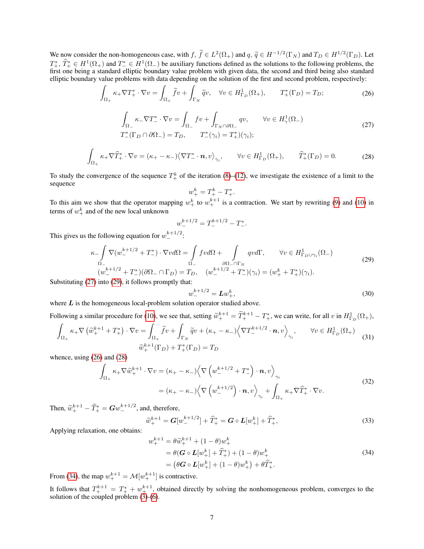We now consider the non-homogeneous case, with  $f, \tilde{f} \in L^2(\Omega_+)$  and  $q, \tilde{q} \in H^{-1/2}(\Gamma_N)$  and  $T_D \in H^{1/2}(\Gamma_D)$ . Let  $T^* \in H^{1(\Omega_+)}$  and  $T^* \in H^{1(\Omega_+)}$  be suritive functions defined as the solution to the following ap  $T^*_+$ ,  $\hat{T}^*_+ \in H^1(\Omega_+)$  and  $T^* \in H^1(\Omega_-)$  be auxiliary functions defined as the solutions to the following problems, the first one being a standard elliptic boundary value problem with given data, the second and third being also standard elliptic boundary value problems with data depending on the solution of the first and second problem, respectively:

$$
\int_{\Omega_+} \kappa_+ \nabla T_+^* \cdot \nabla v = \int_{\Omega_+} \widetilde{f}v + \int_{\Gamma_N} \widetilde{q}v, \quad \forall v \in H^1_{\Gamma_D}(\Omega_+), \qquad T_+^*(\Gamma_D) = T_D; \tag{26}
$$

$$
\int_{\Omega_{-}} \kappa_{-} \nabla T_{-}^{*} \cdot \nabla v = \int_{\Omega_{-}} f v + \int_{\Gamma_{N} \cap \partial \Omega_{-}} q v, \qquad \forall v \in H_{\gamma}^{1}(\Omega_{-})
$$
\n
$$
T_{-}^{*}(\Gamma_{D} \cap \partial \Omega_{-}) = T_{D}, \qquad T_{-}^{*}(\gamma_{i}) = T_{+}^{*})(\gamma_{i});
$$
\n(27)

$$
\int_{\Omega_+} \kappa_+ \nabla \widehat{T}_+^* \cdot \nabla v = (\kappa_+ - \kappa_-) \langle \nabla T_-^* \cdot \mathbf{n}, v \rangle_{\gamma_i}, \qquad \forall v \in H^1_{\Gamma_D}(\Omega_+), \qquad \widehat{T}_+^*(\Gamma_D) = 0.
$$
 (28)

To study the convergence of the sequence  $T^k_+$  of the iteration [\(8\)](#page-3-2)–[\(12\)](#page-3-3), we investigate the existence of a limit to the sequence

<span id="page-6-3"></span><span id="page-6-2"></span><span id="page-6-0"></span>
$$
w_+^k = T_+^k - T_+^*.
$$

To this aim we show that the operator mapping  $w_+^k$  to  $w_+^{k+1}$  is a contraction. We start by rewriting [\(9\)](#page-3-5) and [\(10\)](#page-3-4) in terms of  $w_+^k$  and of the new local unknown

$$
w_-^{k+1/2} = T_-^{k+1/2} - T_-^*.
$$

This gives us the following equation for  $w_-^{k+1/2}$ :

<span id="page-6-1"></span>
$$
\kappa_{-}\int_{\Omega_{-}}\nabla(w_{-}^{k+1/2}+T_{-}^{*})\cdot\nabla v d\Omega = \int_{\Omega_{-}}fv d\Omega + \int_{\partial\Omega_{-}\cap\Gamma_{N}}qvd\Gamma, \qquad \forall v \in H_{\Gamma_{D}\cup\gamma_{i}}^{1}(\Omega_{-})
$$
  

$$
(w_{-}^{k+1/2}+T_{-}^{*})(\partial\Omega_{-}\cap\Gamma_{D})=T_{D}, \quad (w_{-}^{k+1/2}+T_{-}^{*})(\gamma_{i})=(w_{+}^{k}+T_{+}^{*})(\gamma_{i}).
$$
\n(29)

Substituting [\(27\)](#page-6-0) into [\(29\)](#page-6-1), it follows promptly that:

$$
L_{-}^{k+1/2} = \mathbf{L}w_{+}^{k},\tag{30}
$$

where  $L$  is the homogeneous local-problem solution operator studied above.

Following a similar procedure for [\(10\)](#page-3-4), we see that, setting  $\tilde{w}_{+}^{k+1} = \tilde{T}_{+}^{k+1} - T_{+}^{*}$ , we can write, for all v in  $H_{\Gamma_D}^1(\Omega_+),$  $\int \kappa_+ \nabla \left( \widetilde{w}^{k+1}_+ + T^*_+ \right) \cdot \nabla v = \int \widetilde{f}v + \int \widetilde{q}v + (\kappa_+ - \kappa_-) \left\langle \nabla T^{k+1/2}_- \cdot \boldsymbol{n}, v \right\rangle , \qquad \forall v \in H^1_\Gamma$ 

 $\overline{u}$ 

$$
\int_{\Omega_{+}} \kappa_{+} \nabla \left( \widetilde{w}_{+}^{k+1} + T_{+}^{*} \right) \cdot \nabla v = \int_{\Omega_{+}} f v + \int_{\Gamma_{N}} \widetilde{q} v + (\kappa_{+} - \kappa_{-}) \left\langle \nabla T_{-}^{k+1/2} \cdot \mathbf{n}, v \right\rangle_{\gamma_{i}}, \qquad \forall v \in H_{\Gamma_{D}}^{1}(\Omega_{+})
$$
\n
$$
\widetilde{w}_{+}^{k+1}(\Gamma_{D}) + T_{+}^{*}(\Gamma_{D}) = T_{D}
$$
\n(31)

whence, using [\(26\)](#page-6-2) and [\(28\)](#page-6-3)

$$
\int_{\Omega_{+}} \kappa_{+} \nabla \widetilde{w}_{+}^{k+1} \cdot \nabla v = (\kappa_{+} - \kappa_{-}) \Big\langle \nabla \left( w_{-}^{k+1/2} + T_{-}^{*} \right) \cdot \boldsymbol{n}, v \Big\rangle_{\gamma_{i}} \n= (\kappa_{+} - \kappa_{-}) \Big\langle \nabla \left( w_{-}^{k+1/2} \right) \cdot \boldsymbol{n}, v \Big\rangle_{\gamma_{i}} + \int_{\Omega_{+}} \kappa_{+} \nabla \widehat{T}_{+}^{*} \cdot \nabla v.
$$
\n(32)

Then,  $\widetilde{w}_{+}^{k+1} - \widehat{T}_{+}^{*} = G w_{-}^{k+1/2}$ , and, therefore,

$$
\widetilde{w}_{+}^{k+1} = G[w_{-}^{k+1/2}] + \widehat{T}_{+}^{*} = G \circ L[w_{+}^{k}] + \widehat{T}_{+}^{*},
$$
\n(33)

Applying relaxation, one obtains:

<span id="page-6-4"></span>
$$
w_{+}^{k+1} = \theta \widetilde{w}_{+}^{k+1} + (1 - \theta) w_{+}^{k}
$$
  
=  $\theta (\mathbf{G} \circ \mathbf{L}[w_{+}^{k}] + \widehat{T}_{+}^{*}) + (1 - \theta) w_{+}^{k}$   
=  $(\theta \mathbf{G} \circ \mathbf{L}[w_{+}^{k}] + (1 - \theta) w_{+}^{k}) + \theta \widehat{T}_{+}^{*}.$  (34)

From [\(34\)](#page-6-4), the map  $w_+^{k+1} = \mathcal{M}[w_+^{k+1}]$  is contractive.

It follows that  $T^{k+1}_+ = T^*_+ + w^{k+1}_+$ , obtained directly by solving the nonhomogeneous problem, converges to the solution of the coupled problem [\(3\)](#page-2-2)-[\(6\)](#page-3-0).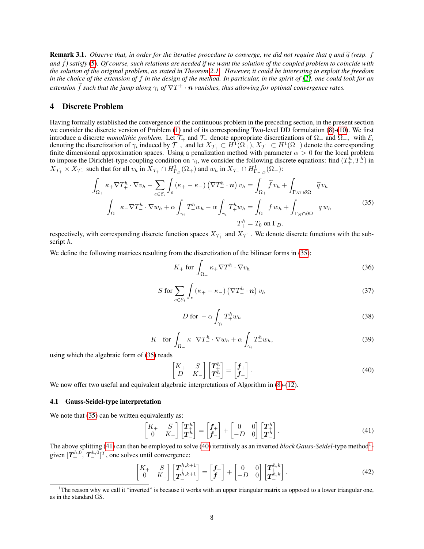**Remark 3.1.** *Observe that, in order for the iterative procedure to converge, we did not require that q and*  $\tilde{q}$  *(resp. f.* and  $\tilde{f}$ ) satisfy [\(5\)](#page-2-3). Of course, such relations are needed if we want the solution of the coupled problem to coincide with *the solution of the original problem, as stated in Theorem [2.1.](#page-3-1) However, it could be interesting to exploit the freedom in the choice of the extension of f in the design of the method. In particular, in the spirit of [\[2\]](#page-17-12), one could look for an*  $e$ xtension  $\hat{f}$  such that the jump along  $\gamma_i$  of  $\nabla T^+ \cdot n$  vanishes, thus allowing for optimal convergence rates.

# <span id="page-7-0"></span>4 Discrete Problem

Having formally established the convergence of the continuous problem in the preceding section, in the present section we consider the discrete version of Problem [\(1\)](#page-2-1) and of its corresponding Two-level DD formulation [\(8\)](#page-3-2)-[\(10\)](#page-3-4). We first introduce a discrete *monolithic problem*. Let  $\mathcal{T}_+$  and  $\mathcal{T}_-$  denote appropriate discretizations of  $\Omega_+$  and  $\Omega_-$ , with  $\mathcal{E}_i$ denoting the discretization of  $\gamma_i$  induced by  $\mathcal{T}_-$ , and let  $X_{\mathcal{T}_+}\subset H^1(\Omega_+), X_{\mathcal{T}_-}\subset H^1(\Omega_-)$  denote the corresponding finite dimensional approximation spaces. Using a penalization method with parameter  $\alpha > 0$  for the local problem to impose the Dirichlet-type coupling condition on  $\gamma_i$ , we consider the following discrete equations: find  $(T^h_+, T^h_-)$  in  $X_{\mathcal{T}_+} \times X_{\mathcal{T}_-}$  such that for all  $v_h$  in  $X_{\mathcal{T}_+} \cap H^1_{\Gamma_D}(\Omega_+)$  and  $w_h$  in  $X_{\mathcal{T}_-} \cap H^1_{\Gamma_{-D}}(\Omega_-)$ :

$$
\int_{\Omega_{+}} \kappa_{+} \nabla T_{+}^{h} \cdot \nabla v_{h} - \sum_{e \in \mathcal{E}_{i}} \int_{e} (\kappa_{+} - \kappa_{-}) (\nabla T_{-}^{h} \cdot \mathbf{n}) v_{h} = \int_{\Omega_{+}} \tilde{f} v_{h} + \int_{\Gamma_{N} \cap \partial \Omega_{-}} \tilde{q} v_{h}
$$
\n
$$
\int_{\Omega_{-}} \kappa_{-} \nabla T_{-}^{h} \cdot \nabla w_{h} + \alpha \int_{\gamma_{i}} T_{-}^{h} w_{h} - \alpha \int_{\gamma_{i}} T_{+}^{h} w_{h} = \int_{\Omega_{-}} f w_{h} + \int_{\Gamma_{N} \cap \partial \Omega_{-}} q w_{h}
$$
\n
$$
T_{+}^{h} = T_{0} \text{ on } \Gamma_{D}.
$$
\n(35)

respectively, with corresponding discrete function spaces  $X_{\mathcal{T}_+}$  and  $X_{\mathcal{T}_-}$ . We denote discrete functions with the subscript h.

We define the following matrices resulting from the discretization of the bilinear forms in [\(35\)](#page-7-1):

<span id="page-7-1"></span>
$$
K_{+} \text{ for } \int_{\Omega_{+}} \kappa_{+} \nabla T_{+}^{h} \cdot \nabla v_{h}
$$
 (36)

$$
S \text{ for } \sum_{e \in \mathcal{E}_i} \int_e \left( \kappa_+ - \kappa_- \right) \left( \nabla T_-^h \cdot \mathbf{n} \right) v_h \tag{37}
$$

<span id="page-7-7"></span><span id="page-7-6"></span><span id="page-7-3"></span>
$$
D \text{ for } -\alpha \int_{\gamma_i} T_+^h w_h \tag{38}
$$

$$
K_{-} \text{ for } \int_{\Omega_{-}} \kappa_{-} \nabla T_{-}^{h} \cdot \nabla w_{h} + \alpha \int_{\gamma_{i}} T_{-}^{h} w_{h}, \qquad (39)
$$

using which the algebraic form of [\(35\)](#page-7-1) reads

<span id="page-7-5"></span><span id="page-7-2"></span>
$$
\begin{bmatrix} K_+ & S \\ D & K_- \end{bmatrix} \begin{bmatrix} T_+^h \\ T_-^h \end{bmatrix} = \begin{bmatrix} f_+ \\ f_- \end{bmatrix} . \tag{40}
$$

We now offer two useful and equivalent algebraic interpretations of Algorithm in  $(8)-(12)$  $(8)-(12)$  $(8)-(12)$ .

#### 4.1 Gauss-Seidel-type interpretation

We note that  $(35)$  can be written equivalently as:

$$
\begin{bmatrix} K_+ & S \\ 0 & K_- \end{bmatrix} \begin{bmatrix} T_+^h \\ T_-^h \end{bmatrix} = \begin{bmatrix} f_+ \\ f_- \end{bmatrix} + \begin{bmatrix} 0 & 0 \\ -D & 0 \end{bmatrix} \begin{bmatrix} T_+^h \\ T_-^h \end{bmatrix} . \tag{41}
$$

The above splitting [\(41\)](#page-7-2) can then be employed to solve [\(40\)](#page-7-3) iteratively as an inverted *block Gauss-Seidel*-type method<sup>[1](#page-7-4)</sup>given  $[T_{+}^{h,0}, T_{-}^{h,0}]^T$ , one solves until convergence:

$$
\begin{bmatrix} K_+ & S \\ 0 & K_- \end{bmatrix} \begin{bmatrix} T_+^{h,k+1} \\ T_-^{h,k+1} \end{bmatrix} = \begin{bmatrix} f_+ \\ f_- \end{bmatrix} + \begin{bmatrix} 0 & 0 \\ -D & 0 \end{bmatrix} \begin{bmatrix} T_+^{h,k} \\ T_-^{h,k} \end{bmatrix} . \tag{42}
$$

<span id="page-7-4"></span><sup>1</sup>The reason why we call it "inverted" is because it works with an upper triangular matrix as opposed to a lower triangular one, as in the standard GS.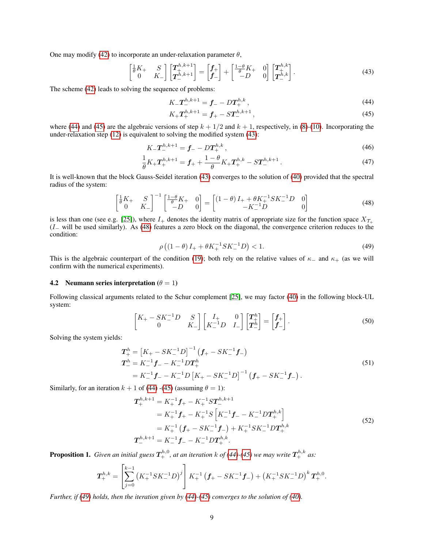One may modify [\(42\)](#page-7-5) to incorporate an under-relaxation parameter  $\theta$ ,

$$
\begin{bmatrix} \frac{1}{\theta}K_{+} & S \\ 0 & K_{-} \end{bmatrix} \begin{bmatrix} T_{+}^{h,k+1} \\ T_{-}^{h,k+1} \end{bmatrix} = \begin{bmatrix} f_{+} \\ f_{-} \end{bmatrix} + \begin{bmatrix} \frac{1-\theta}{\theta}K_{+} & 0 \\ -D & 0 \end{bmatrix} \begin{bmatrix} T_{+}^{h,k} \\ T_{-}^{h,k} \end{bmatrix}.
$$
 (43)

The scheme [\(42\)](#page-7-5) leads to solving the sequence of problems:

<span id="page-8-2"></span><span id="page-8-1"></span><span id="page-8-0"></span>
$$
K_{-}T_{-}^{h,k+1} = f_{-} - DT_{+}^{h,k}, \qquad (44)
$$

$$
K_{+}T_{+}^{h,k+1} = f_{+} - ST_{-}^{h,k+1},\tag{45}
$$

where [\(44\)](#page-8-0) and [\(45\)](#page-8-1) are the algebraic versions of step  $k + 1/2$  and  $k + 1$ , respectively, in [\(8\)](#page-3-2)-[\(10\)](#page-3-4). Incorporating the under-relaxation step [\(12\)](#page-3-3) is equivalent to solving the modified system [\(43\)](#page-8-2):

$$
K_{-}T_{-}^{h,k+1} = f_{-} - DT_{+}^{h,k},\tag{46}
$$

$$
\frac{1}{\theta}K_{+}T_{+}^{h,k+1} = f_{+} + \frac{1-\theta}{\theta}K_{+}T_{+}^{h,k} - ST_{-}^{h,k+1}.
$$
\n(47)

It is well-known that the block Gauss-Seidel iteration [\(43\)](#page-8-2) converges to the solution of [\(40\)](#page-7-3) provided that the spectral radius of the system:

$$
\begin{bmatrix} \frac{1}{\theta}K_{+} & S\\ 0 & K_{-} \end{bmatrix}^{-1} \begin{bmatrix} \frac{1-\theta}{\theta}K_{+} & 0\\ -D & 0 \end{bmatrix} = \begin{bmatrix} (1-\theta)I_{+} + \theta K_{+}^{-1} S K_{-}^{-1} D & 0\\ -K_{-}^{-1} D & 0 \end{bmatrix}
$$
(48)

is less than one (see e.g. [\[25\]](#page-18-22)), where  $I_+$  denotes the identity matrix of appropriate size for the function space  $X_{\mathcal{T}_+}$  $(I_$  will be used similarly). As [\(48\)](#page-8-3) features a zero block on the diagonal, the convergence criterion reduces to the condition:

<span id="page-8-4"></span><span id="page-8-3"></span>
$$
\rho\left(\left(1-\theta\right)I_{+}+\theta K_{+}^{-1}SK_{-}^{-1}D\right) < 1. \tag{49}
$$

This is the algebraic counterpart of the condition [\(19\)](#page-5-2); both rely on the relative values of  $\kappa_+$  and  $\kappa_+$  (as we will confirm with the numerical experiments).

#### 4.2 Neumann series interpretation  $(\theta = 1)$

Following classical arguments related to the Schur complement [\[25\]](#page-18-22), we may factor [\(40\)](#page-7-3) in the following block-UL system:

<span id="page-8-5"></span>
$$
\begin{bmatrix} K_+ - SK_-^{-1}D & S \\ 0 & K_- \end{bmatrix} \begin{bmatrix} I_+ & 0 \\ K_-^{-1}D & I_- \end{bmatrix} \begin{bmatrix} T_+^h \\ T_-^h \end{bmatrix} = \begin{bmatrix} f_+ \\ f_- \end{bmatrix} . \tag{50}
$$

Solving the system yields:

$$
T_{+}^{h} = \left[K_{+} - SK_{-}^{-1}D\right]^{-1} \left(\mathbf{f}_{+} - SK_{-}^{-1}\mathbf{f}_{-}\right)
$$
  
\n
$$
T_{-}^{h} = K_{-}^{-1}\mathbf{f}_{-} - K_{-}^{-1}DT_{+}^{h}
$$
  
\n
$$
= K_{-}^{-1}\mathbf{f}_{-} - K_{-}^{-1}D\left[K_{+} - SK_{-}^{-1}D\right]^{-1} \left(\mathbf{f}_{+} - SK_{-}^{-1}\mathbf{f}_{-}\right).
$$
\n(51)

Similarly, for an iteration  $k + 1$  of [\(44\)](#page-8-0) -[\(45\)](#page-8-1) (assuming  $\theta = 1$ ):

<span id="page-8-6"></span>
$$
T_{+}^{h,k+1} = K_{+}^{-1} f_{+} - K_{+}^{-1} S T_{-}^{h,k+1}
$$
  
\n
$$
= K_{+}^{-1} f_{+} - K_{+}^{-1} S \left[ K_{-}^{-1} f_{-} - K_{-}^{-1} D T_{+}^{h,k} \right]
$$
  
\n
$$
= K_{+}^{-1} \left( f_{+} - S K_{-}^{-1} f_{-} \right) + K_{+}^{-1} S K_{-}^{-1} D T_{+}^{h,k}
$$
  
\n
$$
T_{-}^{h,k+1} = K_{-}^{-1} f_{-} - K_{-}^{-1} D T_{+}^{h,k}.
$$
  
\n(52)

<span id="page-8-7"></span>**Proposition 1.** Given an initial guess  $T^{h,0}_+$ , at an iteration k of [\(44\)](#page-8-0)-[\(45\)](#page-8-1) we may write  $T^{h,k}_+$  as:

$$
\boldsymbol{T}_{+}^{h,k} = \left[\sum_{j=0}^{k-1} \left(K_{+}^{-1} S K_{-}^{-1} D\right)^j \right] K_{+}^{-1} \left(\boldsymbol{f}_{+} - S K_{-}^{-1} \boldsymbol{f}_{-}\right) + \left(K_{+}^{-1} S K_{-}^{-1} D\right)^k \boldsymbol{T}_{+}^{h,0}.
$$

*Further, if [\(49\)](#page-8-4) holds, then the iteration given by [\(44\)](#page-8-0)-[\(45\)](#page-8-1) converges to the solution of [\(40\)](#page-7-3).*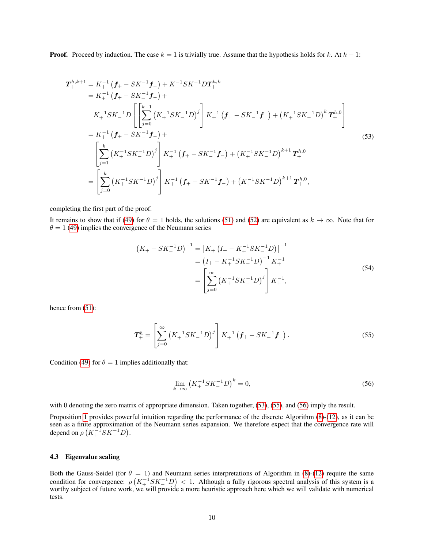**Proof.** Proceed by induction. The case  $k = 1$  is trivially true. Assume that the hypothesis holds for k. At  $k + 1$ :

$$
\mathbf{T}_{+}^{h,k+1} = K_{+}^{-1} \left( \mathbf{f}_{+} - SK_{-}^{-1} \mathbf{f}_{-} \right) + K_{+}^{-1} SK_{-}^{-1} DT_{+}^{h,k} \n= K_{+}^{-1} \left( \mathbf{f}_{+} - SK_{-}^{-1} \mathbf{f}_{-} \right) + \nK_{+}^{-1} SK_{-}^{-1} D \left[ \sum_{j=0}^{k-1} \left( K_{+}^{-1} SK_{-}^{-1} D \right)^j \right] K_{+}^{-1} \left( \mathbf{f}_{+} - SK_{-}^{-1} \mathbf{f}_{-} \right) + \left( K_{+}^{-1} SK_{-}^{-1} D \right)^k \mathbf{T}_{+}^{h,0} \right] \n= K_{+}^{-1} \left( \mathbf{f}_{+} - SK_{-}^{-1} \mathbf{f}_{-} \right) + \n\left[ \sum_{j=1}^{k} \left( K_{+}^{-1} SK_{-}^{-1} D \right)^j \right] K_{+}^{-1} \left( \mathbf{f}_{+} - SK_{-}^{-1} \mathbf{f}_{-} \right) + \left( K_{+}^{-1} SK_{-}^{-1} D \right)^{k+1} \mathbf{T}_{+}^{h,0} \n= \left[ \sum_{j=0}^{k} \left( K_{+}^{-1} SK_{-}^{-1} D \right)^j \right] K_{+}^{-1} \left( \mathbf{f}_{+} - SK_{-}^{-1} \mathbf{f}_{-} \right) + \left( K_{+}^{-1} SK_{-}^{-1} D \right)^{k+1} \mathbf{T}_{+}^{h,0},
$$
\n(53)

completing the first part of the proof.

It remains to show that if [\(49\)](#page-8-4) for  $\theta = 1$  holds, the solutions [\(51\)](#page-8-5) and [\(52\)](#page-8-6) are equivalent as  $k \to \infty$ . Note that for  $\theta = 1$  [\(49\)](#page-8-4) implies the convergence of the Neumann series

<span id="page-9-0"></span>
$$
(K_{+} - SK_{-}^{-1}D)^{-1} = [K_{+} (I_{+} - K_{+}^{-1}SK_{-}^{-1}D)]^{-1}
$$
  
=  $(I_{+} - K_{+}^{-1}SK_{-}^{-1}D)^{-1} K_{+}^{-1}$   
=  $\left[\sum_{j=0}^{\infty} (K_{+}^{-1}SK_{-}^{-1}D)^{j}\right] K_{+}^{-1},$  (54)

hence from  $(51)$ :

$$
\boldsymbol{T}_{+}^{h} = \left[ \sum_{j=0}^{\infty} \left( K_{+}^{-1} S K_{-}^{-1} D \right)^{j} \right] K_{+}^{-1} \left( \boldsymbol{f}_{+} - S K_{-}^{-1} \boldsymbol{f}_{-} \right). \tag{55}
$$

Condition [\(49\)](#page-8-4) for  $\theta = 1$  implies additionally that:

<span id="page-9-2"></span><span id="page-9-1"></span>
$$
\lim_{k \to \infty} \left( K_+^{-1} S K_-^{-1} D \right)^k = 0,\tag{56}
$$

with 0 denoting the zero matrix of appropriate dimension. Taken together, [\(53\)](#page-9-0), [\(55\)](#page-9-1), and [\(56\)](#page-9-2) imply the result.

Proposition [1](#page-8-7) provides powerful intuition regarding the performance of the discrete Algorithm [\(8\)](#page-3-2)-[\(12\)](#page-3-3), as it can be seen as a finite approximation of the Neumann series expansion. We therefore expect that the convergence rate will depend on  $\rho\left(K_+^{-1} S K_-^{-1} D\right)$ .

#### 4.3 Eigenvalue scaling

Both the Gauss-Seidel (for  $\theta = 1$ ) and Neumann series interpretations of Algorithm in [\(8\)](#page-3-2)-[\(12\)](#page-3-3) require the same condition for convergence:  $\rho\left(K_+^{-1}SK_-^{-1}D\right) < 1$ . Although a fully rigorous spectral analysis of this system is a worthy subject of future work, we will provide a more heuristic approach here which we will validate with numerical tests.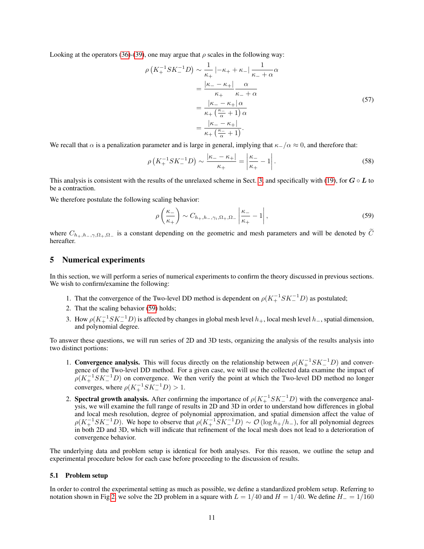Looking at the operators [\(36\)](#page-7-6)-[\(39\)](#page-7-7), one may argue that  $\rho$  scales in the following way:

$$
\rho\left(K_{+}^{-1}SK_{-}^{-1}D\right) \sim \frac{1}{\kappa_{+}} \left| -\kappa_{+} + \kappa_{-} \right| \frac{1}{\kappa_{-} + \alpha} \alpha
$$
\n
$$
= \frac{|\kappa_{-} - \kappa_{+}|}{\kappa_{+} + \kappa_{-} + \alpha}
$$
\n
$$
= \frac{|\kappa_{-} - \kappa_{+}| \alpha}{\kappa_{+} \left(\frac{\kappa_{-}}{\alpha} + 1\right) \alpha}
$$
\n
$$
= \frac{|\kappa_{-} - \kappa_{+}|}{\kappa_{+} \left(\frac{\kappa_{-}}{\alpha} + 1\right)}.
$$
\n(57)

We recall that  $\alpha$  is a penalization parameter and is large in general, implying that  $\kappa$ -/α ≈ 0, and therefore that:

$$
\rho\left(K_{+}^{-1}SK_{-}^{-1}D\right) \sim \frac{|\kappa_{-}-\kappa_{+}|}{\kappa_{+}} = \left|\frac{\kappa_{-}}{\kappa_{+}}-1\right|.
$$
\n(58)

This analysis is consistent with the results of the unrelaxed scheme in Sect. [3,](#page-4-0) and specifically with [\(19\)](#page-5-2), for  $G \circ L$  to be a contraction.

We therefore postulate the following scaling behavior:

<span id="page-10-2"></span><span id="page-10-1"></span>
$$
\rho\left(\frac{\kappa_{-}}{\kappa_{+}}\right) \sim C_{h_{+},h_{-},\gamma_{i},\Omega_{+},\Omega_{-}} \left|\frac{\kappa_{-}}{\kappa_{+}}-1\right|,
$$
\n(59)

where  $C_{h_+,h_-,\gamma,\Omega_+,\Omega_-}$  is a constant depending on the geometric and mesh parameters and will be denoted by  $\tilde{C}$ hereafter.

#### <span id="page-10-0"></span>5 Numerical experiments

In this section, we will perform a series of numerical experiments to confirm the theory discussed in previous sections. We wish to confirm/examine the following:

- 1. That the convergence of the Two-level DD method is dependent on  $\rho(K_+^{-1}SK_-^{-1}D)$  as postulated;
- 2. That the scaling behavior [\(59\)](#page-10-1) holds;
- 3. How  $\rho(K_+^{-1}SK_-^{-1}D)$  is affected by changes in global mesh level  $h_+$ , local mesh level  $h_-$ , spatial dimension, and polynomial degree.

To answer these questions, we will run series of 2D and 3D tests, organizing the analysis of the results analysis into two distinct portions:

- 1. Convergence analysis. This will focus directly on the relationship between  $\rho(K_+^{-1}SK_-^{-1}D)$  and convergence of the Two-level DD method. For a given case, we will use the collected data examine the impact of  $\rho(K_{+}^{-1}SK_{-}^{-1}D)$  on convergence. We then verify the point at which the Two-level DD method no longer converges, where  $\rho(K_+^{-1}SK_-^{-1}D) > 1$ .
- 2. Spectral growth analysis. After confirming the importance of  $\rho(K_+^{-1}SK_-^{-1}D)$  with the convergence analysis, we will examine the full range of results in 2D and 3D in order to understand how differences in global and local mesh resolution, degree of polynomial approximation, and spatial dimension affect the value of  $\rho(K_+^{-1}SK_-^{-1}D)$ . We hope to observe that  $\rho(K_+^{-1}SK_-^{-1}D) \sim \mathcal{O}(\log h_+/h_-)$ , for all polynomial degrees in both 2D and 3D, which will indicate that refinement of the local mesh does not lead to a deterioration of convergence behavior.

The underlying data and problem setup is identical for both analyses. For this reason, we outline the setup and experimental procedure below for each case before proceeding to the discussion of results.

#### 5.1 Problem setup

In order to control the experimental setting as much as possible, we define a standardized problem setup. Referring to notation shown in Fig [2,](#page-11-0) we solve the 2D problem in a square with  $L = 1/40$  and  $H = 1/40$ . We define  $H = 1/160$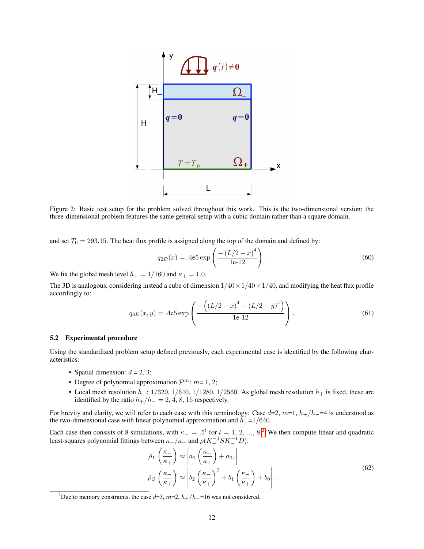<span id="page-11-0"></span>

Figure 2: Basic test setup for the problem solved throughout this work. This is the two-dimensional version; the three-dimensional problem features the same general setup with a cubic domain rather than a square domain.

and set  $T_0 = 293.15$ . The heat flux profile is assigned along the top of the domain and defined by:

$$
q_{2D}(x) = .4e5 \exp\left(\frac{-\left(L/2 - x\right)^4}{1e \cdot 12}\right). \tag{60}
$$

We fix the global mesh level  $h_+ = 1/160$  and  $\kappa_+ = 1.0$ .

The 3D is analogous, considering instead a cube of dimension  $1/40 \times 1/40 \times 1/40$ , and modifying the heat flux profile accordingly to:

$$
q_{3D}(x,y) = .4e5 \exp\left(\frac{-\left((L/2 - x)^4 + (L/2 - y)^4\right)}{1e \cdot 12}\right).
$$
 (61)

#### 5.2 Experimental procedure

Using the standardized problem setup defined previously, each experimental case is identified by the following characteristics:

- Spatial dimension:  $d = 2, 3;$
- Degree of polynomial approximation  $\mathcal{P}^m$ :  $m=1, 2;$
- Local mesh resolution  $h_$ : 1/320, 1/640, 1/1280, 1/2560. As global mesh resolution  $h_+$  is fixed, these are identified by the ratio  $h_{+}/h_{-} = 2, 4, 8, 16$  respectively.

For brevity and clarity, we will refer to each case with this terminology: Case  $d=2$ ,  $m=1$ ,  $h_{+}/h_{-}=4$  is understood as the two-dimensional case with linear polynomial approximation and  $h_-\equiv 1/640$ .

Each case then consists of 8 simulations, with  $\kappa_- = .5^l$  for  $l = 1, 2, ..., 8.2$  $l = 1, 2, ..., 8.2$  $l = 1, 2, ..., 8.2$  We then compute linear and quadratic least-squares polynomial fittings between  $\kappa_-/\kappa_+$  and  $\rho(K_+^{-1} S K_-^{-1} D)$ :

<span id="page-11-2"></span>
$$
\hat{\rho}_L\left(\frac{\kappa_-}{\kappa_+}\right) \approx \left| a_1\left(\frac{\kappa_-}{\kappa_+}\right) + a_0, \right|
$$
\n
$$
\hat{\rho}_Q\left(\frac{\kappa_-}{\kappa_+}\right) \approx \left| b_2\left(\frac{\kappa_-}{\kappa_+}\right)^2 + b_1\left(\frac{\kappa_-}{\kappa_+}\right) + b_0 \right|.
$$
\n(62)

<span id="page-11-1"></span><sup>&</sup>lt;sup>2</sup>Due to memory constraints, the case d=3, m=2,  $h_{+}/h_{-}=16$  was not considered.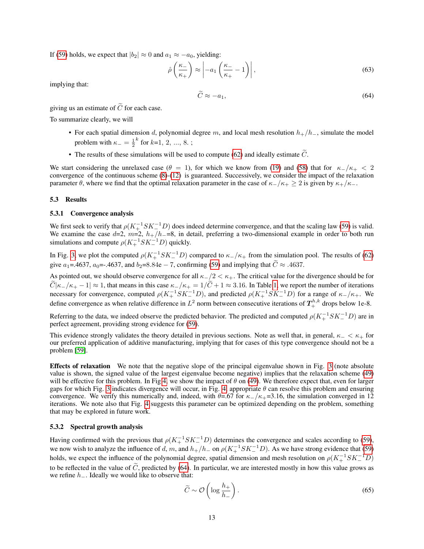If [\(59\)](#page-10-1) holds, we expect that  $|b_2| \approx 0$  and  $a_1 \approx -a_0$ , yielding:

$$
\hat{\rho}\left(\frac{\kappa_{-}}{\kappa_{+}}\right) \approx \left| -a_{1}\left(\frac{\kappa_{-}}{\kappa_{+}}-1\right) \right|,
$$
\n(63)

implying that:

<span id="page-12-0"></span>
$$
\widetilde{C} \approx -a_1,\tag{64}
$$

giving us an estimate of  $\tilde{C}$  for each case.

To summarize clearly, we will

- For each spatial dimension d, polynomial degree m, and local mesh resolution  $h_{+}/h_{-}$ , simulate the model problem with  $\kappa_- = \frac{1}{2}$  $k$  for  $k=1, 2, ..., 8$ .;
- The results of these simulations will be used to compute [\(62\)](#page-11-2) and ideally estimate  $\tilde{C}$ .

We start considering the unrelaxed case ( $\theta = 1$ ), for which we know from [\(19\)](#page-5-2) and [\(58\)](#page-10-2) that for  $\kappa_-/\kappa_+ < 2$ convergence of the continuous scheme [\(8\)](#page-3-2)-[\(12\)](#page-3-3) is guaranteed. Successively, we consider the impact of the relaxation parameter  $\theta$ , where we find that the optimal relaxation parameter in the case of  $\kappa_-\kappa_+ \geq 2$  is given by  $\kappa_+\kappa_-$ .

#### 5.3 Results

#### 5.3.1 Convergence analysis

We first seek to verify that  $\rho(K_+^{-1}SK_-^{-1}D)$  does indeed determine convergence, and that the scaling law [\(59\)](#page-10-1) is valid. We examine the case d=2,  $m=2$ ,  $h_{+}/h_{-}=8$ , in detail, preferring a two-dimensional example in order to both run simulations and compute  $\rho(K_+^{-1}SK_-^{-1}D)$  quickly.

In Fig. [3,](#page-13-0) we plot the computed  $\rho(K_+^{-1}SK_-^{-1}D)$  compared to  $\kappa_-/\kappa_+$  from the simulation pool. The results of [\(62\)](#page-11-2) give a<sub>1</sub>=.4637, a<sub>0</sub>=-.4637, and b<sub>2</sub>=8.84e – 7, confirming [\(59\)](#page-10-1) and implying that  $\tilde{C} \approx .4637$ .

As pointed out, we should observe convergence for all  $\kappa_+/2 < \kappa_+$ . The critical value for the divergence should be for  $\widetilde{C}|\kappa_-/\kappa_+-1| \approx 1$ , that means in this case  $\kappa_-/\kappa_+ = 1/\widetilde{C} + 1 \approx 3.16$ . In Table [1,](#page-13-1) we report the number of iterations necessary for convergence, computed  $\rho(K_+^{-1}SK_-^{-1}D)$ , and predicted  $\rho(K_+^{-1}SK_-^{-1}D)$  for a range of  $\kappa_-/\kappa_+$ . We define convergence as when relative difference in  $L^2$  norm between consecutive iterations of  $T^{h,k}_+$  drops below 1e-8.

Referring to the data, we indeed observe the predicted behavior. The predicted and computed  $\rho(K_+^{-1}SK_-^{-1}D)$  are in perfect agreement, providing strong evidence for [\(59\)](#page-10-1).

This evidence strongly validates the theory detailed in previous sections. Note as well that, in general,  $\kappa_+ < \kappa_+$  for our preferred application of additive manufacturing, implying that for cases of this type convergence should not be a problem [\[59\]](#page-20-3).

Effects of relaxation We note that the negative slope of the principal eigenvalue shown in Fig. [3](#page-13-0) (note absolute value is shown, the signed value of the largest eigenvalue become negative) implies that the relaxation scheme [\(49\)](#page-8-4) will be effective for this problem. In Fig [4,](#page-13-2) we show the impact of  $\theta$  on [\(49\)](#page-8-4). We therefore expect that, even for larger gaps for which Fig. [3](#page-13-0) indicates divergence will occur, in Fig. [4,](#page-13-2) appropriate  $\theta$  can resolve this problem and ensuring convergence. We verify this numerically and, indeed, with  $\theta$ =.67 for  $\kappa_-/\kappa_+$ =3.16, the simulation converged in 12 iterations. We note also that Fig. [4](#page-13-2) suggests this parameter can be optimized depending on the problem, something that may be explored in future work.

#### 5.3.2 Spectral growth analysis

Having confirmed with the previous that  $\rho(K_+^{-1}SK_-^{-1}D)$  determines the convergence and scales according to [\(59\)](#page-10-1), we now wish to analyze the influence of d, m, and  $h_+/h_-$  on  $\rho(K_+^{-1}SK_-^{-1}D)$ . As we have strong evidence that [\(59\)](#page-10-1) holds, we expect the influence of the polynomial degree, spatial dimension and mesh resolution on  $\rho(K_+^{-1}SK_-^{-1}D)$ to be reflected in the value of  $\tilde{C}$ , predicted by [\(64\)](#page-12-0). In particular, we are interested mostly in how this value grows as we refine  $h_$ . Ideally we would like to observe that:

$$
\widetilde{C} \sim \mathcal{O}\left(\log \frac{h_+}{h_-}\right). \tag{65}
$$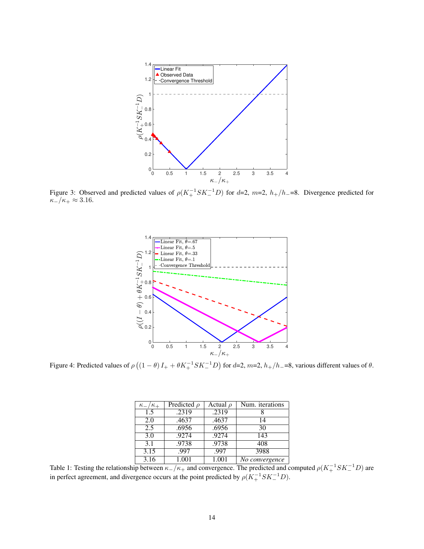<span id="page-13-0"></span>

<span id="page-13-2"></span>Figure 3: Observed and predicted values of  $\rho(K_+^{-1}SK_-^{-1}D)$  for d=2, m=2,  $h_+/h_-=8$ . Divergence predicted for  $\kappa_-/\kappa_+ \approx 3.16.$ 



<span id="page-13-1"></span>Figure 4: Predicted values of  $\rho((1 - \theta)I_+ + \theta K_+^{-1}SK_-^{-1}D)$  for  $d=2$ ,  $m=2$ ,  $h_+/h_-$ =8, various different values of  $\theta$ .

| $\kappa_-/\kappa_+$ | Predicted $\rho$ | Actual $\rho$ | Num. iterations   |
|---------------------|------------------|---------------|-------------------|
| 1.5                 | .2319            | .2319         |                   |
| 2.0                 | .4637            | .4637         | 14                |
| 2.5                 | .6956            | .6956         | 30                |
| 3.0                 | .9274            | .9274         | 143               |
| 3.1                 | .9738            | .9738         | 408               |
| 3.15                | .997             | .997          | 3988              |
| 3.16                | 1.001            | 1.001         | $N$ o convergence |

Table 1: Testing the relationship between  $\kappa_-/\kappa_+$  and convergence. The predicted and computed  $\rho(K_+^{-1}SK_-^{-1}D)$  are in perfect agreement, and divergence occurs at the point predicted by  $\rho(K_+^{-1} S K_-^{-1} D)$ .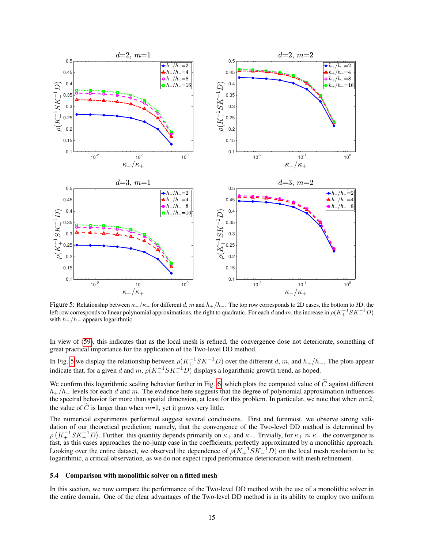<span id="page-14-0"></span>

Figure 5: Relationship between  $\kappa_-/\kappa_+$  for different d, m and  $h_+/h_-$ . The top row corresponds to 2D cases, the bottom to 3D; the left row corresponds to linear polynomial approximations, the right to quadratic. For each  $d$  and  $m$ , the increase in  $\rho(K_+^{-1}SK_-^{-1}D)$ with  $h_+/h_-$  appears logarithmic.

In view of [\(59\)](#page-10-1), this indicates that as the local mesh is refined, the convergence dose not deteriorate, something of great practical importance for the application of the Two-level DD method.

In Fig. [5](#page-14-0) we display the relationship between  $\rho(K_+^{-1}SK_-^{-1}D)$  over the different d, m, and  $h_+/h_-$ . The plots appear indicate that, for a given d and  $m$ ,  $\rho(K_+^{-1}SK_-^{-1}D)$  displays a logarithmic growth trend, as hoped.

We confirm this logarithmic scaling behavior further in Fig. [6,](#page-15-0) which plots the computed value of  $\tilde{C}$  against different  $h_{+}/h_{-}$  levels for each d and m. The evidence here suggests that the degree of polynomial approximation influences the spectral behavior far more than spatial dimension, at least for this problem. In particular, we note that when  $m=2$ , the value of  $\tilde{C}$  is larger than when  $m=1$ , yet it grows very little.

The numerical experiments performed suggest several conclusions. First and foremost, we observe strong validation of our theoretical prediction; namely, that the convergence of the Two-level DD method is determined by  $\rho\left(K_+^{-1}SK_-^{-1}D\right)$ . Further, this quantity depends primarily on  $\kappa_+$  and  $\kappa_-$ . Trivially, for  $\kappa_+ \approx \kappa_-$  the convergence is fast, as this cases approaches the no-jump case in the coefficients, perfectly approximated by a monolithic approach. Looking over the entire dataset, we observed the dependence of  $\rho(K_+^{-1}SK_-^{-1}D)$  on the local mesh resolution to be logarithmic, a critical observation, as we do not expect rapid performance deterioration with mesh refinement.

#### 5.4 Comparison with monolithic solver on a fitted mesh

In this section, we now compare the performance of the Two-level DD method with the use of a monolithic solver in the entire domain. One of the clear advantages of the Two-level DD method is in its ability to employ two uniform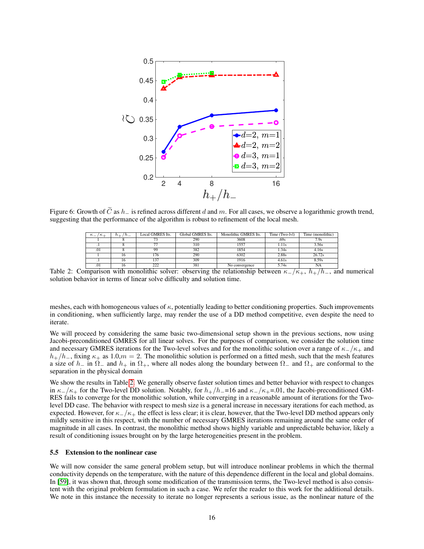<span id="page-15-0"></span>

<span id="page-15-1"></span>Figure 6: Growth of  $\tilde{C}$  as  $h_-\$  is refined across different d and m. For all cases, we observe a logarithmic growth trend, suggesting that the performance of the algorithm is robust to refinement of the local mesh.

| $\kappa$ $-$<br>/ K + | $n_{-}$<br>n ⊥ | Local GMRES Its. | Global GMRES Its. | Monolithic GMRES Its. | Time (Two-lvl) | Time (monolithic) |
|-----------------------|----------------|------------------|-------------------|-----------------------|----------------|-------------------|
|                       |                |                  | 290               | 3608                  | .69s           | 7.9s              |
| $\cdot$ 1             |                |                  | 310               | 1557                  | 1.11s          | 3.56s             |
| .01                   |                | 99               | 382               | 1854                  | 1.34s          | 4.16s             |
|                       |                | 176              | 290               | 6302                  | 2.88s          | 26.72s            |
| $\cdot$               |                | 137              | 309               | 1916                  | 4.61s          | 8.59s             |
| .01                   | .              | $\cap$           | 381               | No convergence        | 5.74s          | <b>NA</b>         |

Table 2: Comparison with monolithic solver: observing the relationship between  $\kappa_{-}/\kappa_{+}$ ,  $h_{+}/h_{-}$ , and numerical solution behavior in terms of linear solve difficulty and solution time.

meshes, each with homogeneous values of  $\kappa$ , potentially leading to better conditioning properties. Such improvements in conditioning, when sufficiently large, may render the use of a DD method competitive, even despite the need to iterate.

We will proceed by considering the same basic two-dimensional setup shown in the previous sections, now using Jacobi-preconditioned GMRES for all linear solves. For the purposes of comparison, we consider the solution time and necessary GMRES iterations for the Two-level solves and for the monolithic solution over a range of  $\kappa_+/\kappa_+$  and  $h_{+}/h_{-}$ , fixing  $\kappa_{+}$  as 1.0, $m = 2$ . The monolithic solution is performed on a fitted mesh, such that the mesh features a size of  $h_-\in \Omega_-\infty$  and  $h_+\in \Omega_+$ , where all nodes along the boundary between  $\Omega_-\in \Omega_+$  are conformal to the separation in the physical domain

We show the results in Table [2.](#page-15-1) We generally observe faster solution times and better behavior with respect to changes in  $\kappa_{-}/\kappa_{+}$  for the Two-level DD solution. Notably, for  $h_{+}/h_{-}=16$  and  $\kappa_{-}/\kappa_{+}=0.1$ , the Jacobi-preconditioned GM-RES fails to converge for the monolithic solution, while converging in a reasonable amount of iterations for the Twolevel DD case. The behavior with respect to mesh size is a general increase in necessary iterations for each method, as expected. However, for  $\kappa_-/\kappa_+$  the effect is less clear; it is clear, however, that the Two-level DD method appears only mildly sensitive in this respect, with the number of necessary GMRES iterations remaining around the same order of magnitude in all cases. In contrast, the monolithic method shows highly variable and unpredictable behavior, likely a result of conditioning issues brought on by the large heterogeneities present in the problem.

#### 5.5 Extension to the nonlinear case

We will now consider the same general problem setup, but will introduce nonlinear problems in which the thermal conductivity depends on the temperature, with the nature of this dependence different in the local and global domains. In [\[59\]](#page-20-3), it was shown that, through some modification of the transmission terms, the Two-level method is also consistent with the original problem formulation in such a case. We refer the reader to this work for the additional details. We note in this instance the necessity to iterate no longer represents a serious issue, as the nonlinear nature of the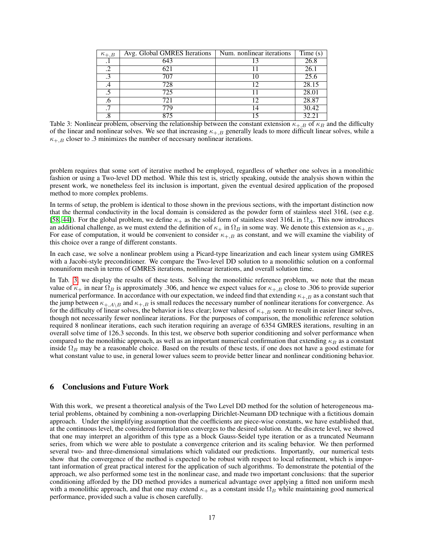<span id="page-16-1"></span>

| $\kappa_{+,B}$ | Avg. Global GMRES Iterations | Num. nonlinear iterations | Time(s) |
|----------------|------------------------------|---------------------------|---------|
| . 1            | 643                          |                           | 26.8    |
| .2             | 621                          |                           | 26.1    |
| $\cdot$ 3      | 707                          | 10                        | 25.6    |
| .4             | $\overline{728}$             | 12                        | 28.15   |
|                | 725                          |                           | 28.01   |
| .6             | 721                          | 12                        | 28.87   |
|                | 779                          | 14                        | 30.42   |
|                |                              |                           | 32.21   |

Table 3: Nonlinear problem, observing the relationship between the constant extension  $\kappa_{\pm,B}$  of  $\kappa_B$  and the difficulty of the linear and nonlinear solves. We see that increasing  $\kappa_{+B}$  generally leads to more difficult linear solves, while a  $\kappa_{\pm,B}$  closer to .3 minimizes the number of necessary nonlinear iterations.

problem requires that some sort of iterative method be employed, regardless of whether one solves in a monolithic fashion or using a Two-level DD method. While this test is, strictly speaking, outside the analysis shown within the present work, we nonetheless feel its inclusion is important, given the eventual desired application of the proposed method to more complex problems.

In terms of setup, the problem is identical to those shown in the previous sections, with the important distinction now that the thermal conductivity in the local domain is considered as the powder form of stainless steel 316L (see e.g. [\[58,](#page-20-1) [44\]](#page-19-20)). For the global problem, we define  $\kappa_+$  as the solid form of stainless steel 316L in  $\Omega_A$ . This now introduces an additional challenge, as we must extend the definition of  $\kappa_+$  in  $\Omega_B$  in some way. We denote this extension as  $\kappa_{+,B}$ . For ease of computation, it would be convenient to consider  $\kappa_{+,B}$  as constant, and we will examine the viability of this choice over a range of different constants.

In each case, we solve a nonlinear problem using a Picard-type linearization and each linear system using GMRES with a Jacobi-style preconditioner. We compare the Two-level DD solution to a monolithic solution on a conformal nonuniform mesh in terms of GMRES iterations, nonlinear iterations, and overall solution time.

In Tab. [3,](#page-16-1) we display the results of these tests. Solving the monolithic reference problem, we note that the mean value of  $\kappa_+$  in near  $\Omega_B$  is approximately .306, and hence we expect values for  $\kappa_{+,B}$  close to .306 to provide superior numerical performance. In accordance with our expectation, we indeed find that extending  $\kappa_{+,B}$  as a constant such that the jump between  $\kappa_{+,A\setminus B}$  and  $\kappa_{+,B}$  is small reduces the necessary number of nonlinear iterations for convergence. As for the difficulty of linear solves, the behavior is less clear; lower values of  $\kappa_{+,B}$  seem to result in easier linear solves, though not necessarily fewer nonlinear iterations. For the purposes of comparison, the monolithic reference solution required 8 nonlinear iterations, each such iteration requiring an average of 6354 GMRES iterations, resulting in an overall solve time of 126.3 seconds. In this test, we observe both superior conditioning and solver performance when compared to the monolithic approach, as well as an important numerical confirmation that extending  $\kappa_B$  as a constant inside  $\Omega_B$  may be a reasonable choice. Based on the results of these tests, if one does not have a good estimate for what constant value to use, in general lower values seem to provide better linear and nonlinear conditioning behavior.

# <span id="page-16-0"></span>6 Conclusions and Future Work

With this work, we present a theoretical analysis of the Two Level DD method for the solution of heterogeneous material problems, obtained by combining a non-overlapping Dirichlet-Neumann DD technique with a fictitious domain approach. Under the simplifying assumption that the coefficients are piece-wise constants, we have established that, at the continuous level, the considered formulation converges to the desired solution. At the discrete level, we showed that one may interpret an algorithm of this type as a block Gauss-Seidel type iteration or as a truncated Neumann series, from which we were able to postulate a convergence criterion and its scaling behavior. We then performed several two- and three-dimensional simulations which validated our predictions. Importantly, our numerical tests show that the convergence of the method is expected to be robust with respect to local refinement, which is important information of great practical interest for the application of such algorithms. To demonstrate the potential of the approach, we also performed some test in the nonlinear case, and made two important conclusions: that the superior conditioning afforded by the DD method provides a numerical advantage over applying a fitted non uniform mesh with a monolithic approach, and that one may extend  $\kappa_+$  as a constant inside  $\Omega_B$  while maintaining good numerical performance, provided such a value is chosen carefully.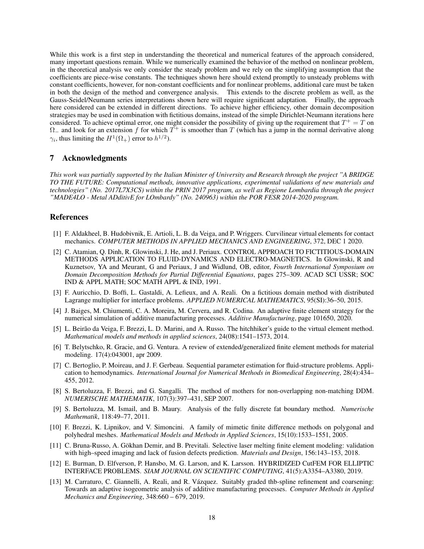While this work is a first step in understanding the theoretical and numerical features of the approach considered, many important questions remain. While we numerically examined the behavior of the method on nonlinear problem, in the theoretical analysis we only consider the steady problem and we rely on the simplifying assumption that the coefficients are piece-wise constants. The techniques shown here should extend promptly to unsteady problems with constant coefficients, however, for non-constant coefficients and for nonlinear problems, additional care must be taken in both the design of the method and convergence analysis. This extends to the discrete problem as well, as the Gauss-Seidel/Neumann series interpretations shown here will require significant adaptation. Finally, the approach here considered can be extended in different directions. To achieve higher efficiency, other domain decomposition strategies may be used in combination with fictitious domains, instead of the simple Dirichlet-Neumann iterations here considered. To achieve optimal error, one might consider the possibility of giving up the requirement that  $T^+ = T$  on  $\Omega$  and look for an extension f for which  $T^+$  is smoother than T (which has a jump in the normal derivative along  $\gamma_i$ , thus limiting the  $H^1(\Omega_+)$  error to  $h^{1/2}$ ).

## 7 Acknowledgments

*This work was partially supported by the Italian Minister of University and Research through the project "A BRIDGE TO THE FUTURE: Computational methods, innovative applications, experimental validations of new materials and technologies" (No. 2017L7X3CS) within the PRIN 2017 program, as well as Regione Lombardia through the project "MADE4LO - Metal ADditivE for LOmbardy" (No. 240963) within the POR FESR 2014-2020 program.*

## References

- <span id="page-17-7"></span>[1] F. Aldakheel, B. Hudobivnik, E. Artioli, L. B. da Veiga, and P. Wriggers. Curvilinear virtual elements for contact mechanics. *COMPUTER METHODS IN APPLIED MECHANICS AND ENGINEERING*, 372, DEC 1 2020.
- <span id="page-17-12"></span>[2] C. Atamian, Q. Dinh, R. Glowinski, J. He, and J. Periaux. CONTROL APPROACH TO FICTITIOUS-DOMAIN METHODS APPLICATION TO FLUID-DYNAMICS AND ELECTRO-MAGNETICS. In Glowinski, R and Kuznetsov, YA and Meurant, G and Periaux, J and Widlund, OB, editor, *Fourth International Symposium on Domain Decomposition Methods for Partial Differential Equations*, pages 275–309. ACAD SCI USSR; SOC IND & APPL MATH; SOC MATH APPL & IND, 1991.
- <span id="page-17-11"></span>[3] F. Auricchio, D. Boffi, L. Gastaldi, A. Lefieux, and A. Reali. On a fictitious domain method with distributed Lagrange multiplier for interface problems. *APPLIED NUMERICAL MATHEMATICS*, 95(SI):36–50, 2015.
- <span id="page-17-2"></span>[4] J. Baiges, M. Chiumenti, C. A. Moreira, M. Cervera, and R. Codina. An adaptive finite element strategy for the numerical simulation of additive manufacturing processes. *Additive Manufacturing*, page 101650, 2020.
- <span id="page-17-5"></span>[5] L. Beirão da Veiga, F. Brezzi, L. D. Marini, and A. Russo. The hitchhiker's guide to the virtual element method. *Mathematical models and methods in applied sciences*, 24(08):1541–1573, 2014.
- <span id="page-17-3"></span>[6] T. Belytschko, R. Gracie, and G. Ventura. A review of extended/generalized finite element methods for material modeling. 17(4):043001, apr 2009.
- <span id="page-17-9"></span>[7] C. Bertoglio, P. Moireau, and J. F. Gerbeau. Sequential parameter estimation for fluid-structure problems. Application to hemodynamics. *International Journal for Numerical Methods in Biomedical Engineering*, 28(4):434– 455, 2012.
- <span id="page-17-10"></span>[8] S. Bertoluzza, F. Brezzi, and G. Sangalli. The method of mothers for non-overlapping non-matching DDM. *NUMERISCHE MATHEMATIK*, 107(3):397–431, SEP 2007.
- <span id="page-17-8"></span>[9] S. Bertoluzza, M. Ismail, and B. Maury. Analysis of the fully discrete fat boundary method. *Numerische Mathematik*, 118:49–77, 2011.
- <span id="page-17-6"></span>[10] F. Brezzi, K. Lipnikov, and V. Simoncini. A family of mimetic finite difference methods on polygonal and polyhedral meshes. *Mathematical Models and Methods in Applied Sciences*, 15(10):1533–1551, 2005.
- <span id="page-17-0"></span>[11] C. Bruna-Russo, A. Gokhan Demir, and B. Previtali. Selective laser melting finite element modeling: validation ¨ with high–speed imaging and lack of fusion defects prediction. *Materials and Design*, 156:143–153, 2018.
- <span id="page-17-4"></span>[12] E. Burman, D. Elfverson, P. Hansbo, M. G. Larson, and K. Larsson. HYBRIDIZED CutFEM FOR ELLIPTIC INTERFACE PROBLEMS. *SIAM JOURNAL ON SCIENTIFIC COMPUTING*, 41(5):A3354–A3380, 2019.
- <span id="page-17-1"></span>[13] M. Carraturo, C. Giannelli, A. Reali, and R. Vázquez. Suitably graded thb-spline refinement and coarsening: Towards an adaptive isogeometric analysis of additive manufacturing processes. *Computer Methods in Applied Mechanics and Engineering*, 348:660 – 679, 2019.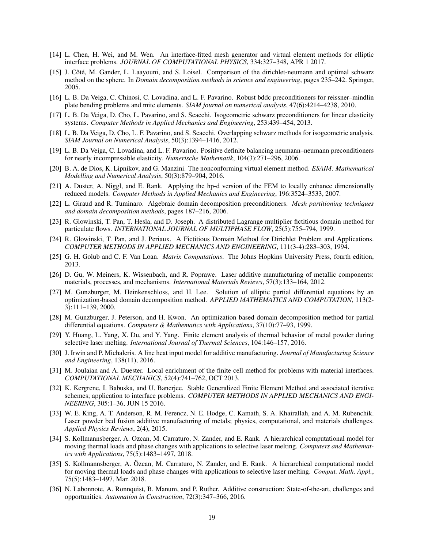- <span id="page-18-11"></span>[14] L. Chen, H. Wei, and M. Wen. An interface-fitted mesh generator and virtual element methods for elliptic interface problems. *JOURNAL OF COMPUTATIONAL PHYSICS*, 334:327–348, APR 1 2017.
- <span id="page-18-15"></span>[15] J. Côté, M. Gander, L. Laayouni, and S. Loisel. Comparison of the dirichlet-neumann and optimal schwarz method on the sphere. In *Domain decomposition methods in science and engineering*, pages 235–242. Springer, 2005.
- <span id="page-18-18"></span>[16] L. B. Da Veiga, C. Chinosi, C. Lovadina, and L. F. Pavarino. Robust bddc preconditioners for reissner–mindlin plate bending problems and mitc elements. *SIAM journal on numerical analysis*, 47(6):4214–4238, 2010.
- <span id="page-18-20"></span>[17] L. B. Da Veiga, D. Cho, L. Pavarino, and S. Scacchi. Isogeometric schwarz preconditioners for linear elasticity systems. *Computer Methods in Applied Mechanics and Engineering*, 253:439–454, 2013.
- <span id="page-18-19"></span>[18] L. B. Da Veiga, D. Cho, L. F. Pavarino, and S. Scacchi. Overlapping schwarz methods for isogeometric analysis. *SIAM Journal on Numerical Analysis*, 50(3):1394–1416, 2012.
- <span id="page-18-17"></span>[19] L. B. Da Veiga, C. Lovadina, and L. F. Pavarino. Positive definite balancing neumann–neumann preconditioners for nearly incompressible elasticity. *Numerische Mathematik*, 104(3):271–296, 2006.
- <span id="page-18-10"></span>[20] B. A. de Dios, K. Lipnikov, and G. Manzini. The nonconforming virtual element method. *ESAIM: Mathematical Modelling and Numerical Analysis*, 50(3):879–904, 2016.
- <span id="page-18-9"></span>[21] A. Duster, A. Niggl, and E. Rank. Applying the hp-d version of the FEM to locally enhance dimensionally reduced models. *Computer Methods in Applied Mechanics and Engineering*, 196:3524–3533, 2007.
- <span id="page-18-16"></span>[22] L. Giraud and R. Tuminaro. Algebraic domain decomposition preconditioners. *Mesh partitioning techniques and domain decomposition methods*, pages 187–216, 2006.
- <span id="page-18-14"></span>[23] R. Glowinski, T. Pan, T. Hesla, and D. Joseph. A distributed Lagrange multiplier fictitious domain method for particulate flows. *INTERNATIONAL JOURNAL OF MULTIPHASE FLOW*, 25(5):755–794, 1999.
- <span id="page-18-13"></span>[24] R. Glowinski, T. Pan, and J. Periaux. A Fictitious Domain Method for Dirichlet Problem and Applications. *COMPUTER METHODS IN APPLIED MECHANICS AND ENGINEERING*, 111(3-4):283–303, 1994.
- <span id="page-18-22"></span>[25] G. H. Golub and C. F. Van Loan. *Matrix Computations*. The Johns Hopkins University Press, fourth edition, 2013.
- <span id="page-18-0"></span>[26] D. Gu, W. Meiners, K. Wissenbach, and R. Poprawe. Laser additive manufacturing of metallic components: materials, processes, and mechanisms. *International Materials Reviews*, 57(3):133–164, 2012.
- <span id="page-18-21"></span>[27] M. Gunzburger, M. Heinkenschloss, and H. Lee. Solution of elliptic partial differential equations by an optimization-based domain decomposition method. *APPLIED MATHEMATICS AND COMPUTATION*, 113(2- 3):111–139, 2000.
- <span id="page-18-12"></span>[28] M. Gunzburger, J. Peterson, and H. Kwon. An optimization based domain decomposition method for partial differential equations. *Computers & Mathematics with Applications*, 37(10):77–93, 1999.
- <span id="page-18-1"></span>[29] Y. Huang, L. Yang, X. Du, and Y. Yang. Finite element analysis of thermal behavior of metal powder during selective laser melting. *International Journal of Thermal Sciences*, 104:146–157, 2016.
- <span id="page-18-2"></span>[30] J. Irwin and P. Michaleris. A line heat input model for additive manufacturing. *Journal of Manufacturing Science and Engineering*, 138(11), 2016.
- <span id="page-18-8"></span>[31] M. Joulaian and A. Duester. Local enrichment of the finite cell method for problems with material interfaces. *COMPUTATIONAL MECHANICS*, 52(4):741–762, OCT 2013.
- <span id="page-18-7"></span>[32] K. Kergrene, I. Babuska, and U. Banerjee. Stable Generalized Finite Element Method and associated iterative schemes; application to interface problems. *COMPUTER METHODS IN APPLIED MECHANICS AND ENGI-NEERING*, 305:1–36, JUN 15 2016.
- <span id="page-18-3"></span>[33] W. E. King, A. T. Anderson, R. M. Ferencz, N. E. Hodge, C. Kamath, S. A. Khairallah, and A. M. Rubenchik. Laser powder bed fusion additive manufacturing of metals; physics, computational, and materials challenges. *Applied Physics Reviews*, 2(4), 2015.
- <span id="page-18-4"></span>[34] S. Kollmannsberger, A. Ozcan, M. Carraturo, N. Zander, and E. Rank. A hierarchical computational model for moving thermal loads and phase changes with applications to selective laser melting. *Computers and Mathematics with Applications*, 75(5):1483–1497, 2018.
- <span id="page-18-6"></span>[35] S. Kollmannsberger, A. Özcan, M. Carraturo, N. Zander, and E. Rank. A hierarchical computational model for moving thermal loads and phase changes with applications to selective laser melting. *Comput. Math. Appl.*, 75(5):1483–1497, Mar. 2018.
- <span id="page-18-5"></span>[36] N. Labonnote, A. Ronnquist, B. Manum, and P. Ruther. Additive construction: State-of-the-art, challenges and opportunities. *Automation in Construction*, 72(3):347–366, 2016.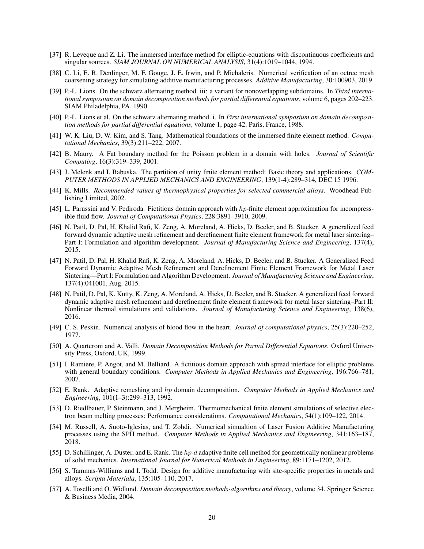- <span id="page-19-18"></span>[37] R. Leveque and Z. Li. The immersed interface method for elliptic-equations with discontinuous coefficients and singular sources. *SIAM JOURNAL ON NUMERICAL ANALYSIS*, 31(4):1019–1044, 1994.
- <span id="page-19-6"></span>[38] C. Li, E. R. Denlinger, M. F. Gouge, J. E. Irwin, and P. Michaleris. Numerical verification of an octree mesh coarsening strategy for simulating additive manufacturing processes. *Additive Manufacturing*, 30:100903, 2019.
- <span id="page-19-16"></span>[39] P.-L. Lions. On the schwarz alternating method. iii: a variant for nonoverlapping subdomains. In *Third international symposium on domain decomposition methods for partial differential equations*, volume 6, pages 202–223. SIAM Philadelphia, PA, 1990.
- <span id="page-19-14"></span>[40] P.-L. Lions et al. On the schwarz alternating method. i. In *First international symposium on domain decomposition methods for partial differential equations*, volume 1, page 42. Paris, France, 1988.
- <span id="page-19-9"></span>[41] W. K. Liu, D. W. Kim, and S. Tang. Mathematical foundations of the immersed finite element method. *Computational Mechanics*, 39(3):211–222, 2007.
- <span id="page-19-13"></span>[42] B. Maury. A Fat boundary method for the Poisson problem in a domain with holes. *Journal of Scientific Computing*, 16(3):319–339, 2001.
- <span id="page-19-7"></span>[43] J. Melenk and I. Babuska. The partition of unity finite element method: Basic theory and applications. *COM-PUTER METHODS IN APPLIED MECHANICS AND ENGINEERING*, 139(1-4):289–314, DEC 15 1996.
- <span id="page-19-20"></span>[44] K. Mills. *Recommended values of thermophysical properties for selected commercial alloys*. Woodhead Publishing Limited, 2002.
- <span id="page-19-10"></span>[45] L. Parussini and V. Pediroda. Fictitious domain approach with hp-finite element approximation for incompressible fluid flow. *Journal of Computational Physics*, 228:3891–3910, 2009.
- <span id="page-19-0"></span>[46] N. Patil, D. Pal, H. Khalid Rafi, K. Zeng, A. Moreland, A. Hicks, D. Beeler, and B. Stucker. A generalized feed forward dynamic adaptive mesh refinement and derefinement finite element framework for metal laser sintering– Part I: Formulation and algorithm development. *Journal of Manufacturing Science and Engineering*, 137(4), 2015.
- <span id="page-19-5"></span>[47] N. Patil, D. Pal, H. Khalid Rafi, K. Zeng, A. Moreland, A. Hicks, D. Beeler, and B. Stucker. A Generalized Feed Forward Dynamic Adaptive Mesh Refinement and Derefinement Finite Element Framework for Metal Laser Sintering—Part I: Formulation and Algorithm Development. *Journal of Manufacturing Science and Engineering*, 137(4):041001, Aug. 2015.
- <span id="page-19-1"></span>[48] N. Patil, D. Pal, K. Kutty, K. Zeng, A. Moreland, A. Hicks, D. Beeler, and B. Stucker. A generalized feed forward dynamic adaptive mesh refinement and derefinement finite element framework for metal laser sintering–Part II: Nonlinear thermal simulations and validations. *Journal of Manufacturing Science and Engineering*, 138(6), 2016.
- <span id="page-19-8"></span>[49] C. S. Peskin. Numerical analysis of blood flow in the heart. *Journal of computational physics*, 25(3):220–252, 1977.
- <span id="page-19-17"></span>[50] A. Quarteroni and A. Valli. *Domain Decomposition Methods for Partial Differential Equations*. Oxford University Press, Oxford, UK, 1999.
- <span id="page-19-19"></span>[51] I. Ramiere, P. Angot, and M. Belliard. A fictitious domain approach with spread interface for elliptic problems with general boundary conditions. *Computer Methods in Applied Mechanics and Engineering*, 196:766–781, 2007.
- <span id="page-19-11"></span>[52] E. Rank. Adaptive remeshing and hp domain decomposition. *Computer Methods in Applied Mechanics and Engineering*, 101(1–3):299–313, 1992.
- <span id="page-19-2"></span>[53] D. Riedlbauer, P. Steinmann, and J. Mergheim. Thermomechanical finite element simulations of selective electron beam melting processes: Performance considerations. *Computational Mechanics*, 54(1):109–122, 2014.
- <span id="page-19-3"></span>[54] M. Russell, A. Suoto-Iglesias, and T. Zohdi. Numerical simualtion of Laser Fusion Additive Manufacturing processes using the SPH method. *Computer Methods in Applied Mechanics and Engineering*, 341:163–187, 2018.
- <span id="page-19-12"></span>[55] D. Schillinger, A. Duster, and E. Rank. The hp-d adaptive finite cell method for geometrically nonlinear problems of solid mechanics. *International Journal for Numerical Methods in Engineering*, 89:1171–1202, 2012.
- <span id="page-19-4"></span>[56] S. Tammas-Williams and I. Todd. Design for additive manufacturing with site-specific properties in metals and alloys. *Scripta Materiala*, 135:105–110, 2017.
- <span id="page-19-15"></span>[57] A. Toselli and O. Widlund. *Domain decomposition methods-algorithms and theory*, volume 34. Springer Science & Business Media, 2004.